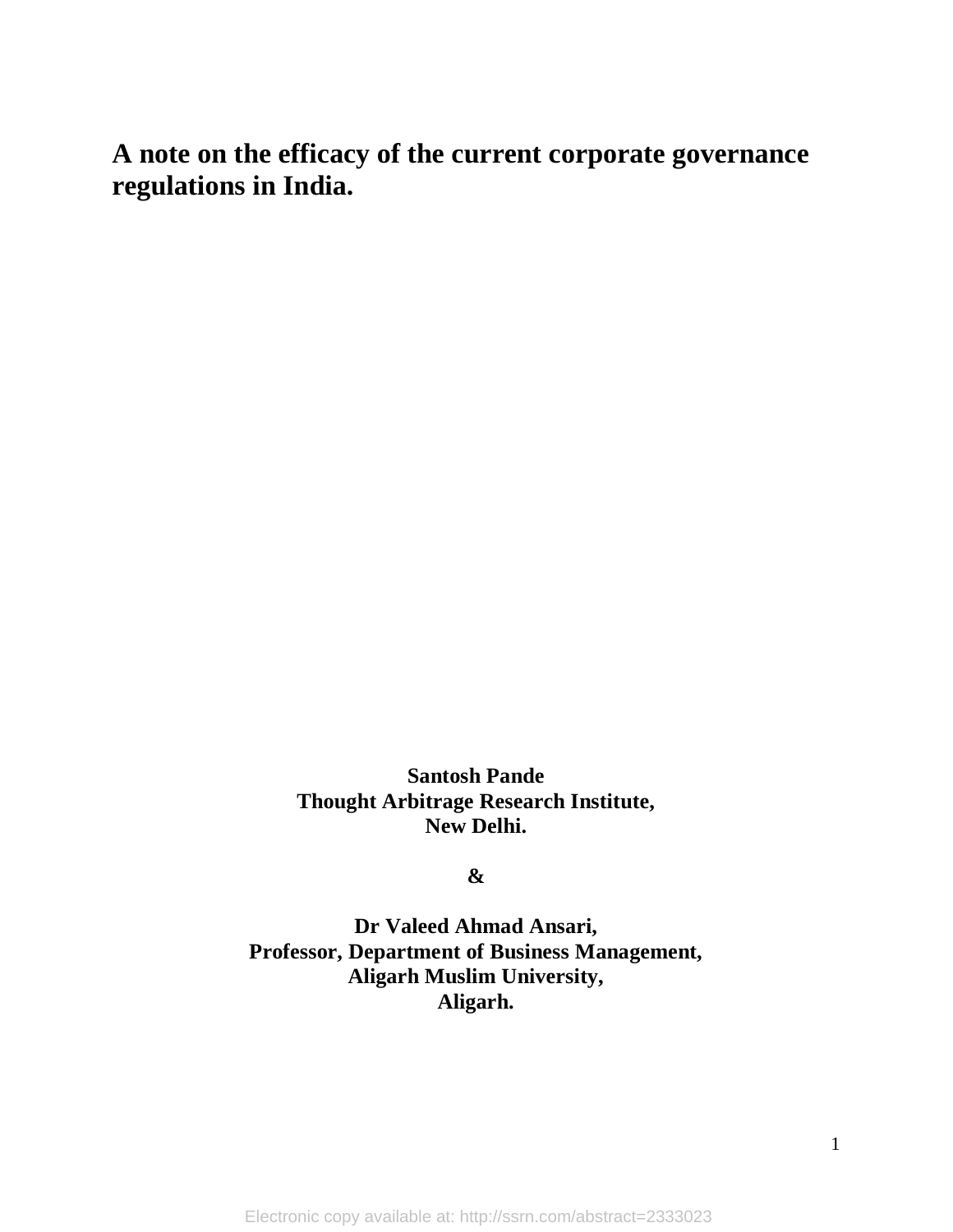> **Santosh Pande Thought Arbitrage Research Institute, New Delhi.**

> > **&**

**Dr Valeed Ahmad Ansari, Professor, Department of Business Management, Aligarh Muslim University, Aligarh.**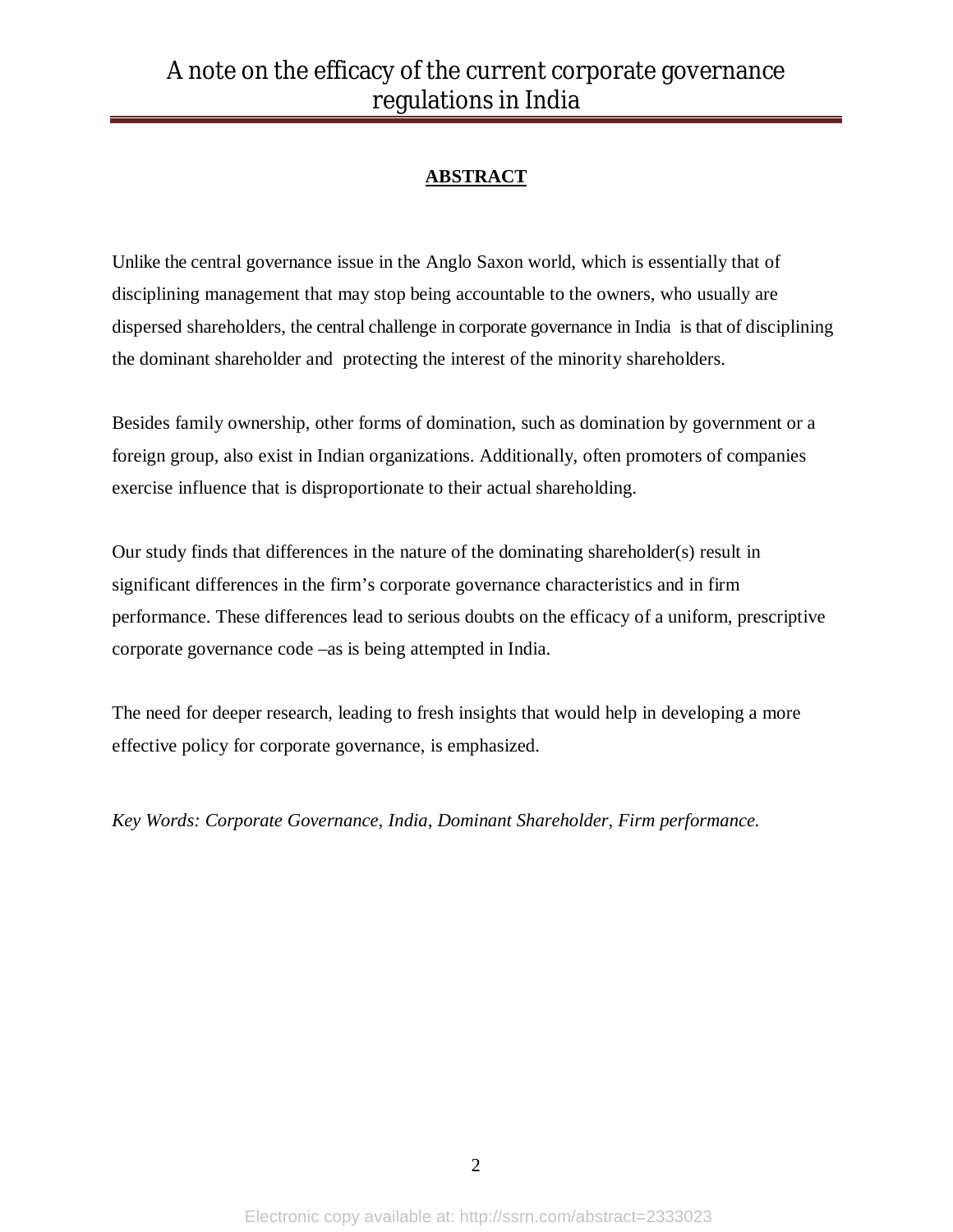### **ABSTRACT**

Unlike the central governance issue in the Anglo Saxon world, which is essentially that of disciplining management that may stop being accountable to the owners, who usually are dispersed shareholders, the central challenge in corporate governance in India is that of disciplining the dominant shareholder and protecting the interest of the minority shareholders.

Besides family ownership, other forms of domination, such as domination by government or a foreign group, also exist in Indian organizations. Additionally, often promoters of companies exercise influence that is disproportionate to their actual shareholding.

Our study finds that differences in the nature of the dominating shareholder(s) result in significant differences in the firm's corporate governance characteristics and in firm performance. These differences lead to serious doubts on the efficacy of a uniform, prescriptive corporate governance code –as is being attempted in India.

The need for deeper research, leading to fresh insights that would help in developing a more effective policy for corporate governance, is emphasized.

*Key Words: Corporate Governance, India, Dominant Shareholder, Firm performance.*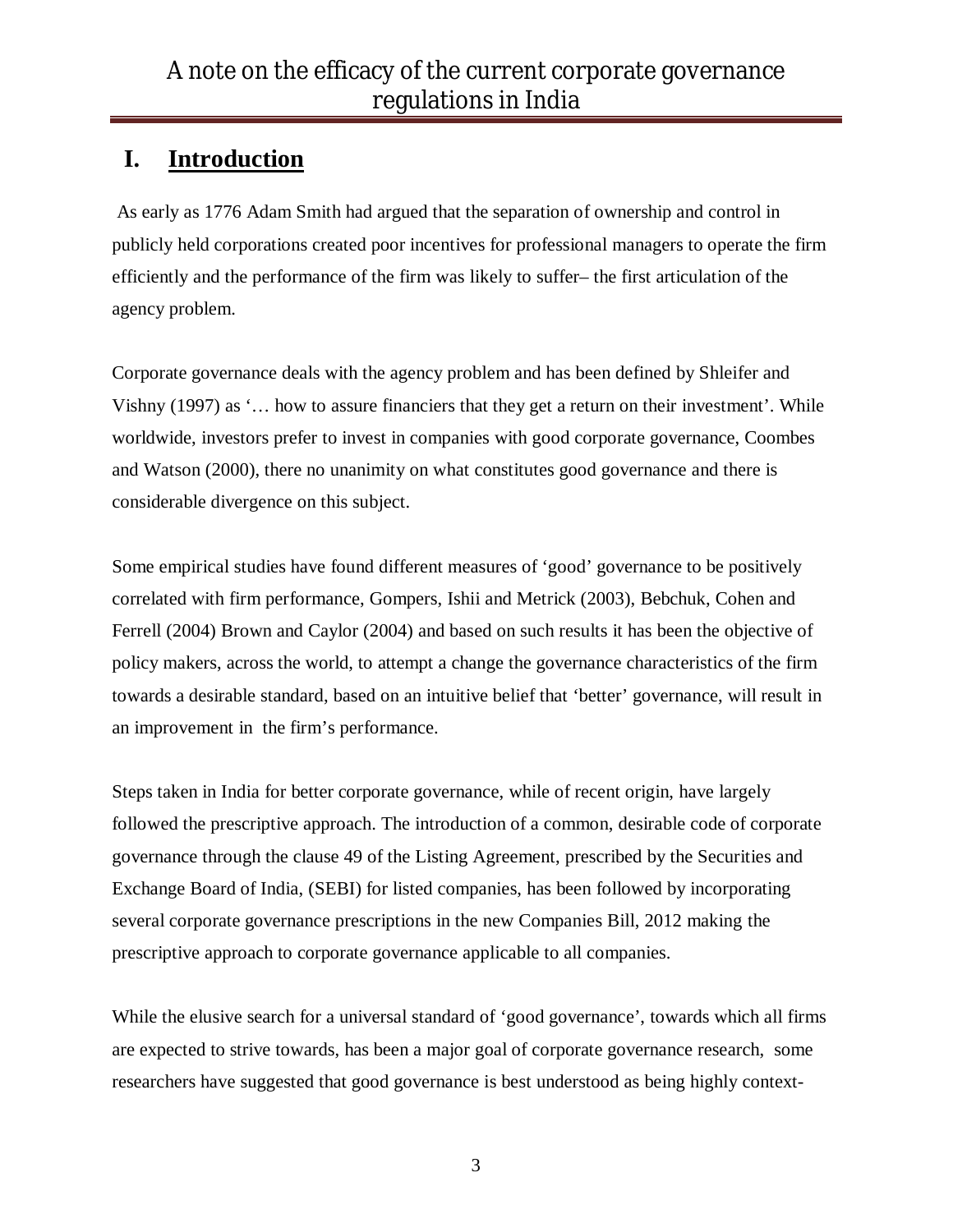# **I. Introduction**

As early as 1776 Adam Smith had argued that the separation of ownership and control in publicly held corporations created poor incentives for professional managers to operate the firm efficiently and the performance of the firm was likely to suffer– the first articulation of the agency problem.

Corporate governance deals with the agency problem and has been defined by Shleifer and Vishny (1997) as '… how to assure financiers that they get a return on their investment'. While worldwide, investors prefer to invest in companies with good corporate governance, Coombes and Watson (2000), there no unanimity on what constitutes good governance and there is considerable divergence on this subject.

Some empirical studies have found different measures of 'good' governance to be positively correlated with firm performance, Gompers, Ishii and Metrick (2003), Bebchuk, Cohen and Ferrell (2004) Brown and Caylor (2004) and based on such results it has been the objective of policy makers, across the world, to attempt a change the governance characteristics of the firm towards a desirable standard, based on an intuitive belief that 'better' governance, will result in an improvement in the firm's performance.

Steps taken in India for better corporate governance, while of recent origin, have largely followed the prescriptive approach. The introduction of a common, desirable code of corporate governance through the clause 49 of the Listing Agreement, prescribed by the Securities and Exchange Board of India, (SEBI) for listed companies, has been followed by incorporating several corporate governance prescriptions in the new Companies Bill, 2012 making the prescriptive approach to corporate governance applicable to all companies.

While the elusive search for a universal standard of 'good governance', towards which all firms are expected to strive towards, has been a major goal of corporate governance research, some researchers have suggested that good governance is best understood as being highly context-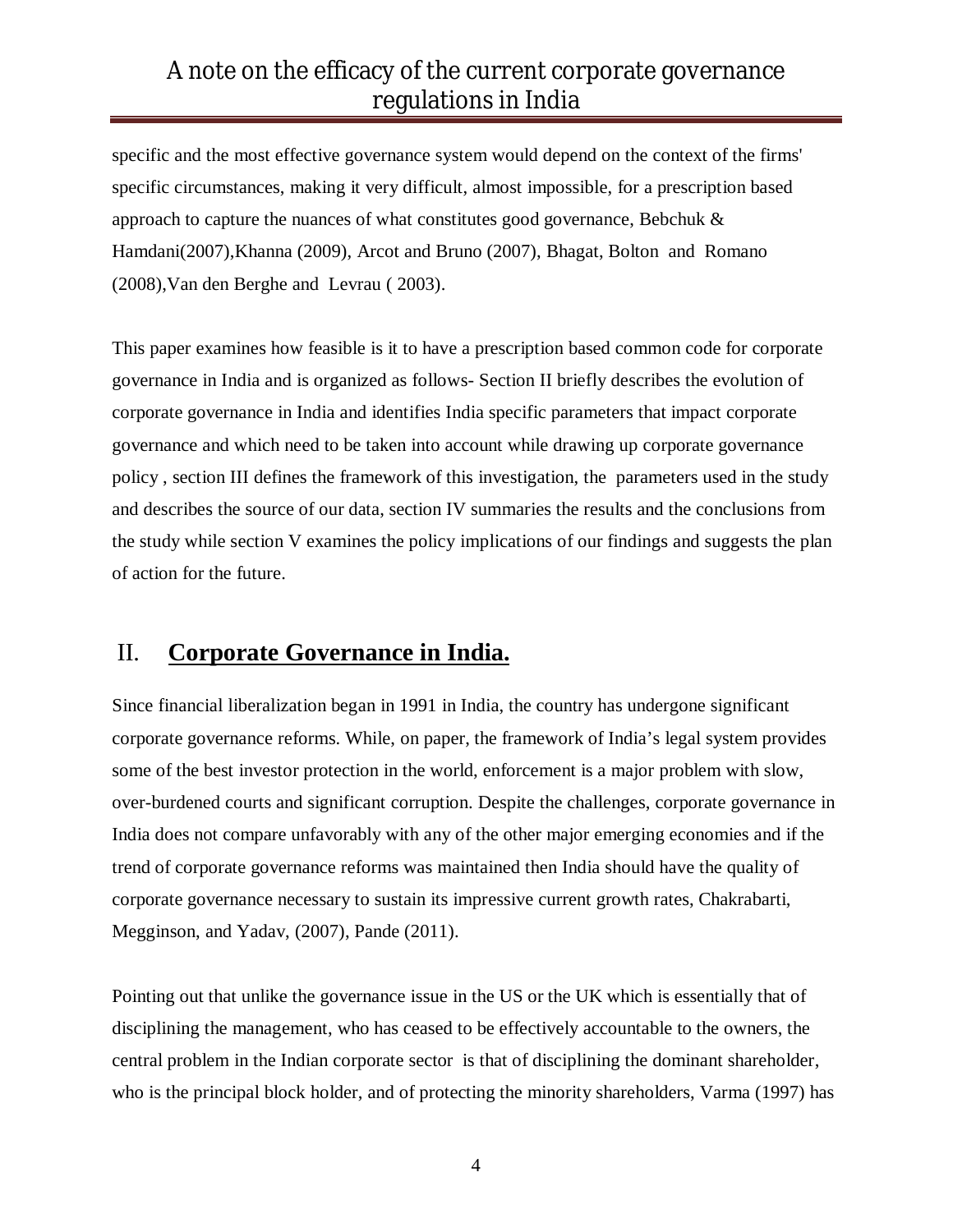specific and the most effective governance system would depend on the context of the firms' specific circumstances, making it very difficult, almost impossible, for a prescription based approach to capture the nuances of what constitutes good governance, Bebchuk & Hamdani(2007),Khanna (2009), Arcot and Bruno (2007), Bhagat, Bolton and Romano (2008),Van den Berghe and Levrau ( 2003).

This paper examines how feasible is it to have a prescription based common code for corporate governance in India and is organized as follows- Section II briefly describes the evolution of corporate governance in India and identifies India specific parameters that impact corporate governance and which need to be taken into account while drawing up corporate governance policy , section III defines the framework of this investigation, the parameters used in the study and describes the source of our data, section IV summaries the results and the conclusions from the study while section V examines the policy implications of our findings and suggests the plan of action for the future.

## II. **Corporate Governance in India.**

Since financial liberalization began in 1991 in India, the country has undergone significant corporate governance reforms. While, on paper, the framework of India's legal system provides some of the best investor protection in the world, enforcement is a major problem with slow, over-burdened courts and significant corruption. Despite the challenges, corporate governance in India does not compare unfavorably with any of the other major emerging economies and if the trend of corporate governance reforms was maintained then India should have the quality of corporate governance necessary to sustain its impressive current growth rates, Chakrabarti, Megginson, and Yadav, (2007), Pande (2011).

Pointing out that unlike the governance issue in the US or the UK which is essentially that of disciplining the management, who has ceased to be effectively accountable to the owners, the central problem in the Indian corporate sector is that of disciplining the dominant shareholder, who is the principal block holder, and of protecting the minority shareholders, Varma (1997) has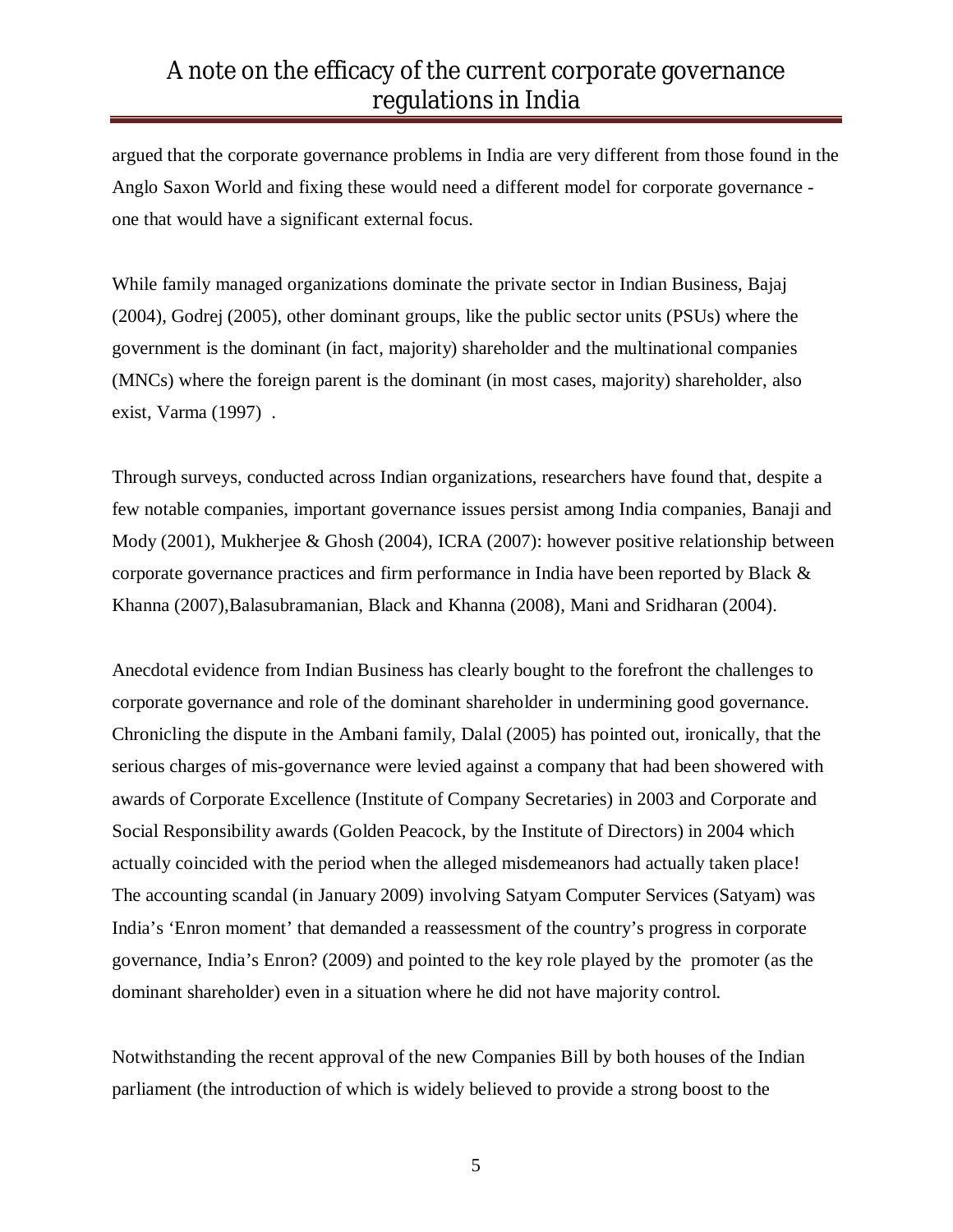argued that the corporate governance problems in India are very different from those found in the Anglo Saxon World and fixing these would need a different model for corporate governance one that would have a significant external focus.

While family managed organizations dominate the private sector in Indian Business, Bajaj (2004), Godrej (2005), other dominant groups, like the public sector units (PSUs) where the government is the dominant (in fact, majority) shareholder and the multinational companies (MNCs) where the foreign parent is the dominant (in most cases, majority) shareholder, also exist, Varma (1997) .

Through surveys, conducted across Indian organizations, researchers have found that, despite a few notable companies, important governance issues persist among India companies, Banaji and Mody (2001), Mukherjee & Ghosh (2004), ICRA (2007): however positive relationship between corporate governance practices and firm performance in India have been reported by Black & Khanna (2007),Balasubramanian, Black and Khanna (2008), Mani and Sridharan (2004).

Anecdotal evidence from Indian Business has clearly bought to the forefront the challenges to corporate governance and role of the dominant shareholder in undermining good governance. Chronicling the dispute in the Ambani family, Dalal (2005) has pointed out, ironically, that the serious charges of mis-governance were levied against a company that had been showered with awards of Corporate Excellence (Institute of Company Secretaries) in 2003 and Corporate and Social Responsibility awards (Golden Peacock, by the Institute of Directors) in 2004 which actually coincided with the period when the alleged misdemeanors had actually taken place! The accounting scandal (in January 2009) involving Satyam Computer Services (Satyam) was India's 'Enron moment' that demanded a reassessment of the country's progress in corporate governance, India's Enron? (2009) and pointed to the key role played by the promoter (as the dominant shareholder) even in a situation where he did not have majority control.

Notwithstanding the recent approval of the new Companies Bill by both houses of the Indian parliament (the introduction of which is widely believed to provide a strong boost to the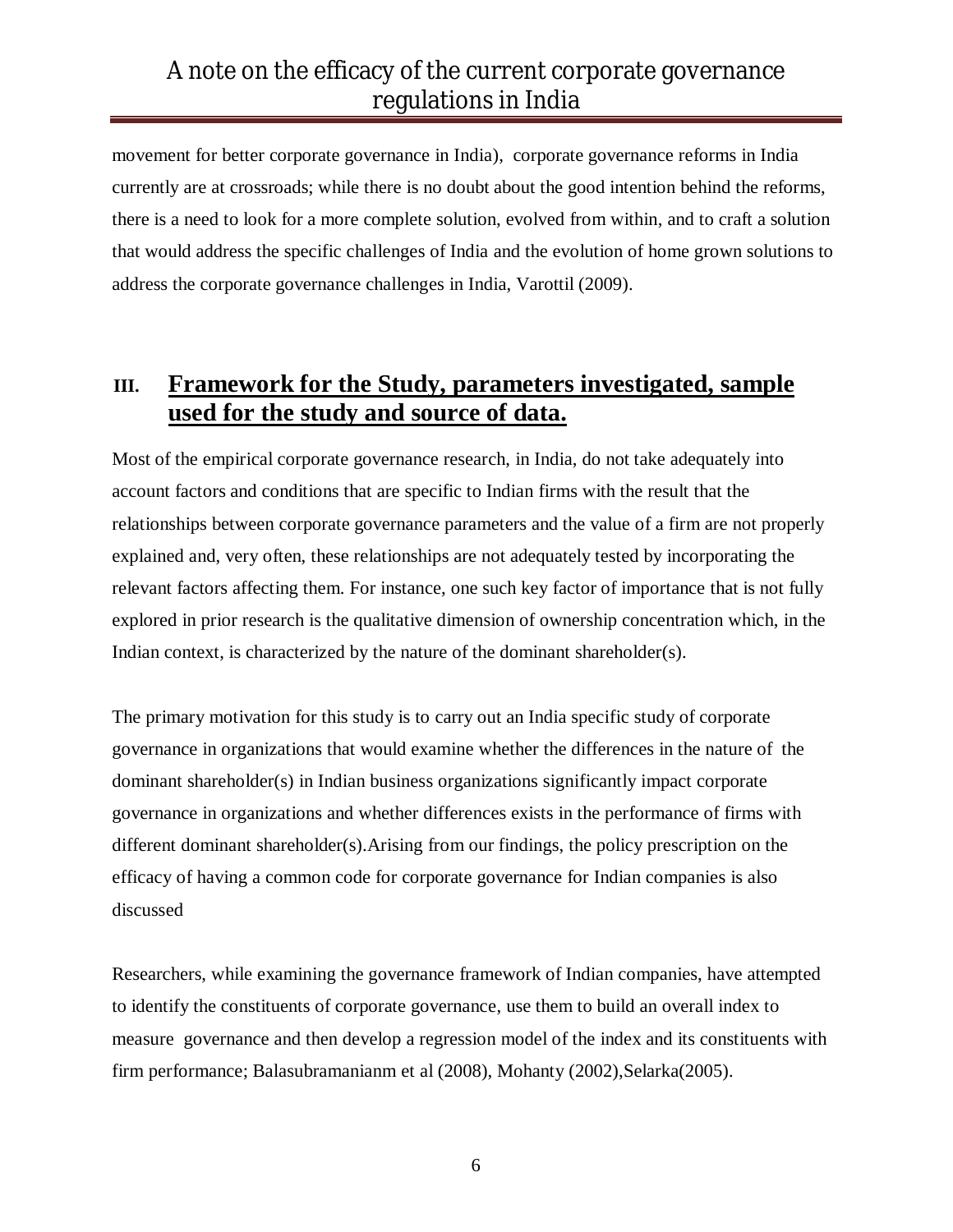movement for better corporate governance in India), corporate governance reforms in India currently are at crossroads; while there is no doubt about the good intention behind the reforms, there is a need to look for a more complete solution, evolved from within, and to craft a solution that would address the specific challenges of India and the evolution of home grown solutions to address the corporate governance challenges in India, Varottil (2009).

## **III. Framework for the Study, parameters investigated, sample used for the study and source of data.**

Most of the empirical corporate governance research, in India, do not take adequately into account factors and conditions that are specific to Indian firms with the result that the relationships between corporate governance parameters and the value of a firm are not properly explained and, very often, these relationships are not adequately tested by incorporating the relevant factors affecting them. For instance, one such key factor of importance that is not fully explored in prior research is the qualitative dimension of ownership concentration which, in the Indian context, is characterized by the nature of the dominant shareholder(s).

The primary motivation for this study is to carry out an India specific study of corporate governance in organizations that would examine whether the differences in the nature of the dominant shareholder(s) in Indian business organizations significantly impact corporate governance in organizations and whether differences exists in the performance of firms with different dominant shareholder(s).Arising from our findings, the policy prescription on the efficacy of having a common code for corporate governance for Indian companies is also discussed

Researchers, while examining the governance framework of Indian companies, have attempted to identify the constituents of corporate governance, use them to build an overall index to measure governance and then develop a regression model of the index and its constituents with firm performance; Balasubramanianm et al (2008), Mohanty (2002),Selarka(2005).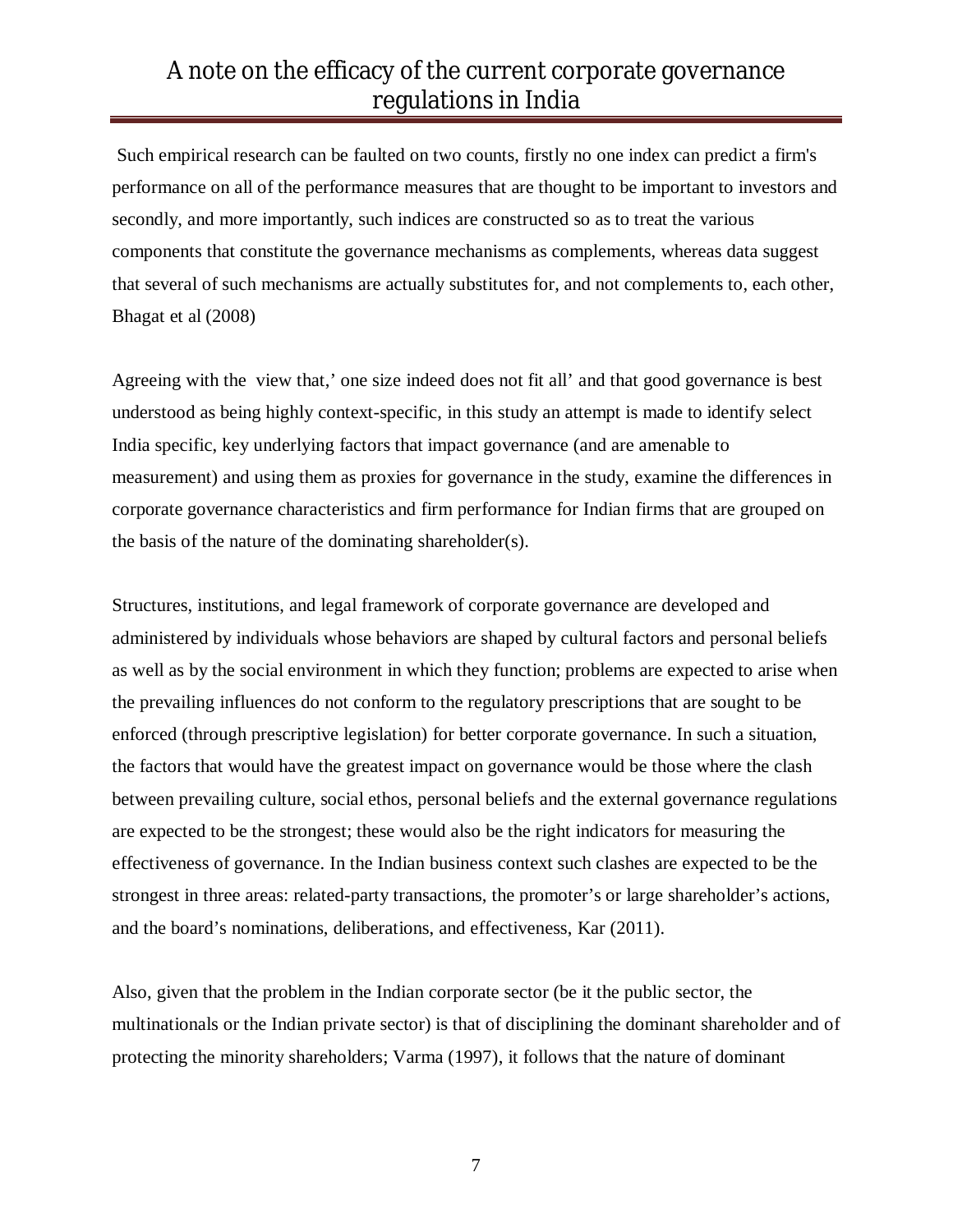Such empirical research can be faulted on two counts, firstly no one index can predict a firm's performance on all of the performance measures that are thought to be important to investors and secondly, and more importantly, such indices are constructed so as to treat the various components that constitute the governance mechanisms as complements, whereas data suggest that several of such mechanisms are actually substitutes for, and not complements to, each other, Bhagat et al (2008)

Agreeing with the view that,' one size indeed does not fit all' and that good governance is best understood as being highly context-specific, in this study an attempt is made to identify select India specific, key underlying factors that impact governance (and are amenable to measurement) and using them as proxies for governance in the study, examine the differences in corporate governance characteristics and firm performance for Indian firms that are grouped on the basis of the nature of the dominating shareholder(s).

Structures, institutions, and legal framework of corporate governance are developed and administered by individuals whose behaviors are shaped by cultural factors and personal beliefs as well as by the social environment in which they function; problems are expected to arise when the prevailing influences do not conform to the regulatory prescriptions that are sought to be enforced (through prescriptive legislation) for better corporate governance. In such a situation, the factors that would have the greatest impact on governance would be those where the clash between prevailing culture, social ethos, personal beliefs and the external governance regulations are expected to be the strongest; these would also be the right indicators for measuring the effectiveness of governance. In the Indian business context such clashes are expected to be the strongest in three areas: related-party transactions, the promoter's or large shareholder's actions, and the board's nominations, deliberations, and effectiveness, Kar (2011).

Also, given that the problem in the Indian corporate sector (be it the public sector, the multinationals or the Indian private sector) is that of disciplining the dominant shareholder and of protecting the minority shareholders; Varma (1997), it follows that the nature of dominant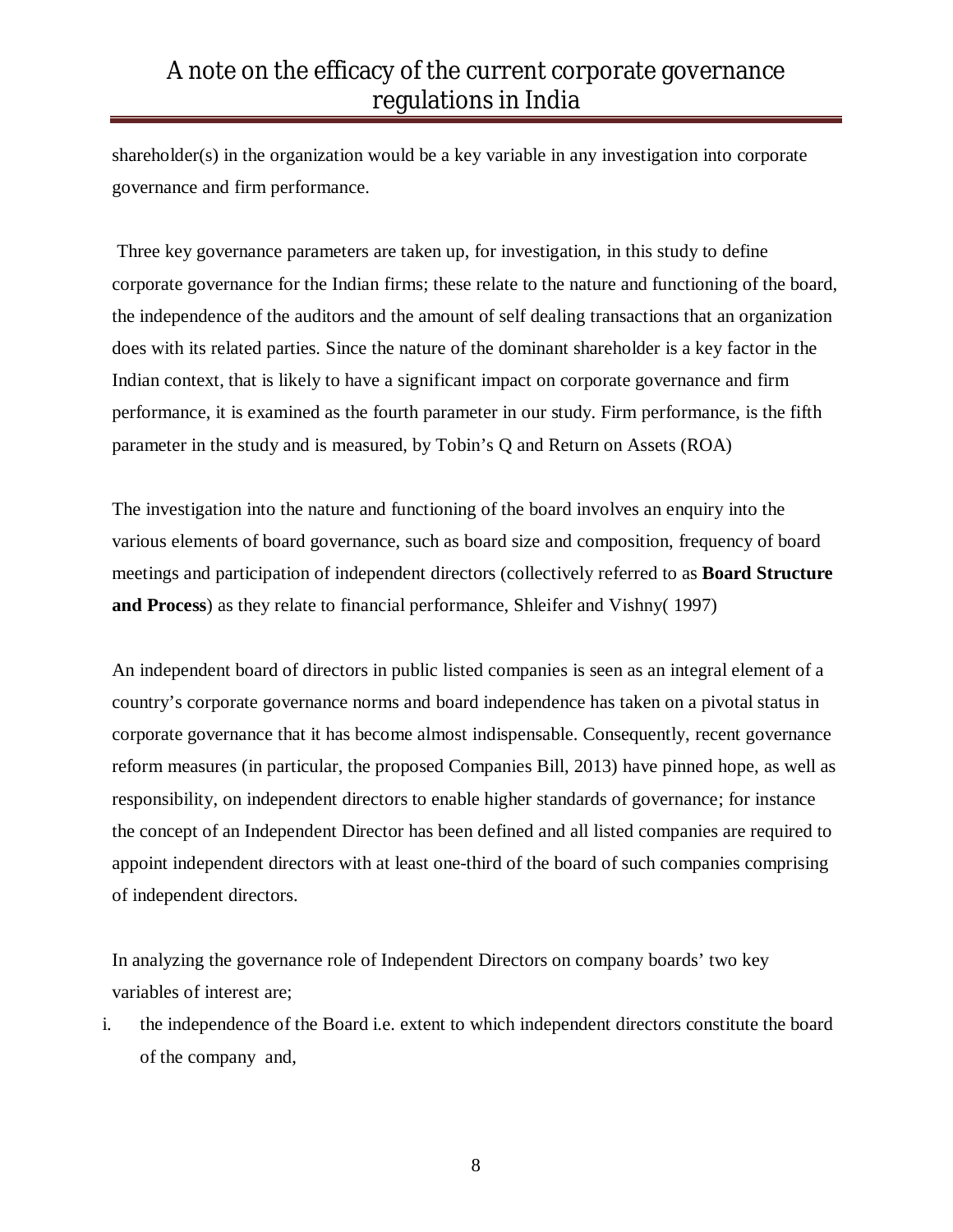shareholder(s) in the organization would be a key variable in any investigation into corporate governance and firm performance.

Three key governance parameters are taken up, for investigation, in this study to define corporate governance for the Indian firms; these relate to the nature and functioning of the board, the independence of the auditors and the amount of self dealing transactions that an organization does with its related parties. Since the nature of the dominant shareholder is a key factor in the Indian context, that is likely to have a significant impact on corporate governance and firm performance, it is examined as the fourth parameter in our study. Firm performance, is the fifth parameter in the study and is measured, by Tobin's Q and Return on Assets (ROA)

The investigation into the nature and functioning of the board involves an enquiry into the various elements of board governance, such as board size and composition, frequency of board meetings and participation of independent directors (collectively referred to as **Board Structure and Process**) as they relate to financial performance, Shleifer and Vishny( 1997)

An independent board of directors in public listed companies is seen as an integral element of a country's corporate governance norms and board independence has taken on a pivotal status in corporate governance that it has become almost indispensable. Consequently, recent governance reform measures (in particular, the proposed Companies Bill, 2013) have pinned hope, as well as responsibility, on independent directors to enable higher standards of governance; for instance the concept of an Independent Director has been defined and all listed companies are required to appoint independent directors with at least one-third of the board of such companies comprising of independent directors.

In analyzing the governance role of Independent Directors on company boards' two key variables of interest are;

i. the independence of the Board i.e. extent to which independent directors constitute the board of the company and,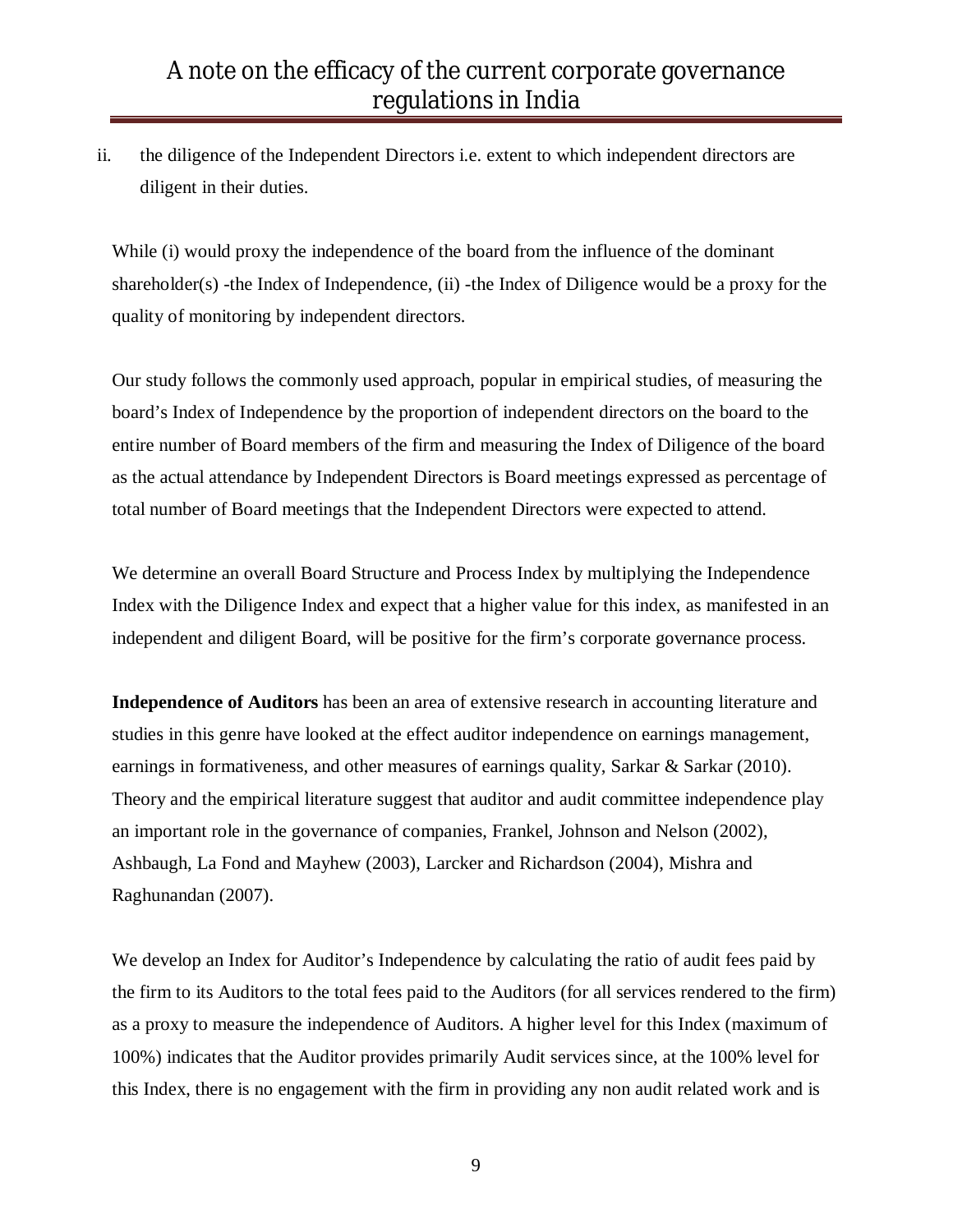ii. the diligence of the Independent Directors i.e. extent to which independent directors are diligent in their duties.

While (i) would proxy the independence of the board from the influence of the dominant shareholder(s) -the Index of Independence, (ii) -the Index of Diligence would be a proxy for the quality of monitoring by independent directors.

Our study follows the commonly used approach, popular in empirical studies, of measuring the board's Index of Independence by the proportion of independent directors on the board to the entire number of Board members of the firm and measuring the Index of Diligence of the board as the actual attendance by Independent Directors is Board meetings expressed as percentage of total number of Board meetings that the Independent Directors were expected to attend.

We determine an overall Board Structure and Process Index by multiplying the Independence Index with the Diligence Index and expect that a higher value for this index, as manifested in an independent and diligent Board, will be positive for the firm's corporate governance process.

**Independence of Auditors** has been an area of extensive research in accounting literature and studies in this genre have looked at the effect auditor independence on earnings management, earnings in formativeness, and other measures of earnings quality, Sarkar & Sarkar (2010). Theory and the empirical literature suggest that auditor and audit committee independence play an important role in the governance of companies, Frankel, Johnson and Nelson (2002), Ashbaugh, La Fond and Mayhew (2003), Larcker and Richardson (2004), Mishra and Raghunandan (2007).

We develop an Index for Auditor's Independence by calculating the ratio of audit fees paid by the firm to its Auditors to the total fees paid to the Auditors (for all services rendered to the firm) as a proxy to measure the independence of Auditors. A higher level for this Index (maximum of 100%) indicates that the Auditor provides primarily Audit services since, at the 100% level for this Index, there is no engagement with the firm in providing any non audit related work and is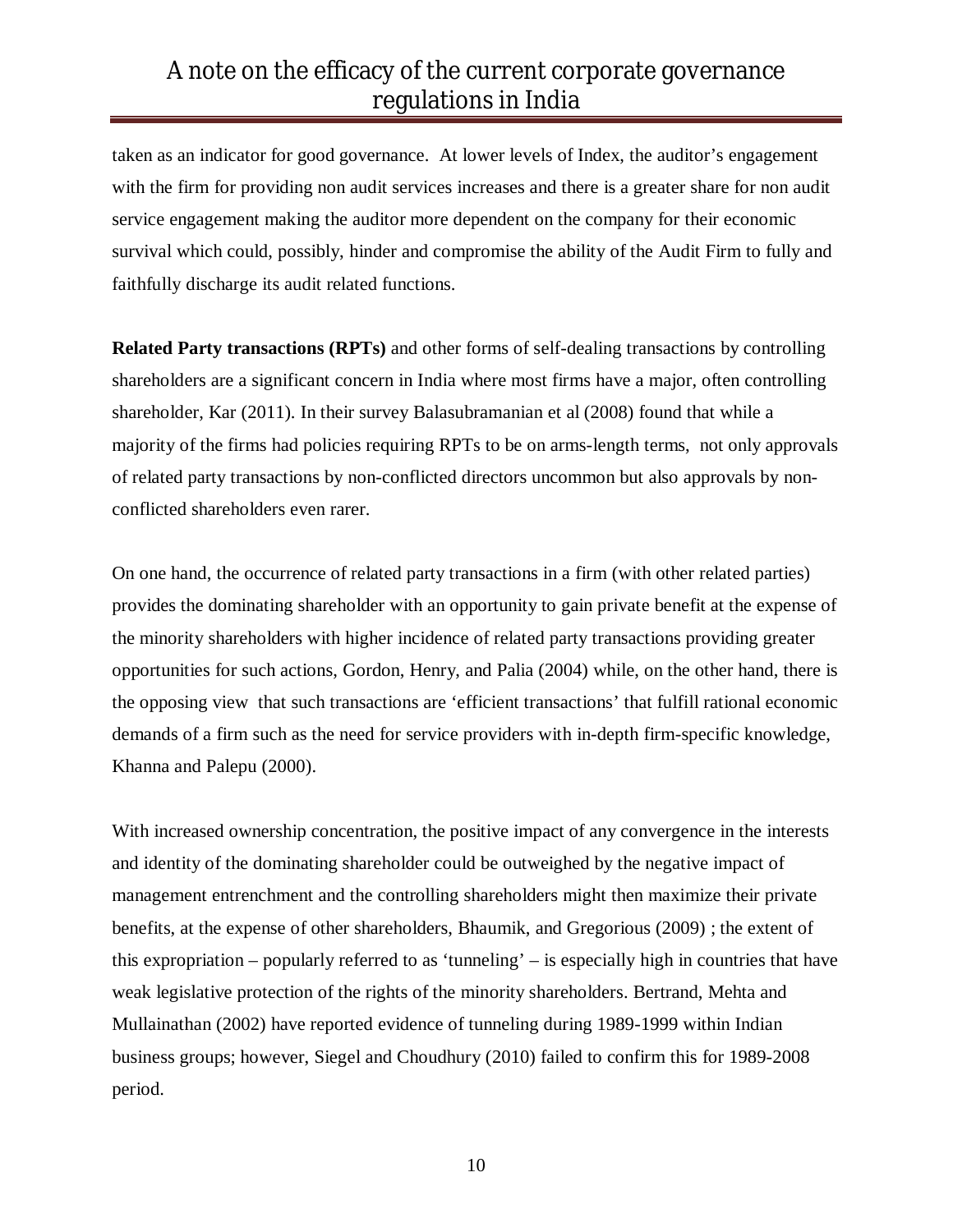taken as an indicator for good governance. At lower levels of Index, the auditor's engagement with the firm for providing non audit services increases and there is a greater share for non audit service engagement making the auditor more dependent on the company for their economic survival which could, possibly, hinder and compromise the ability of the Audit Firm to fully and faithfully discharge its audit related functions.

**Related Party transactions (RPTs)** and other forms of self-dealing transactions by controlling shareholders are a significant concern in India where most firms have a major, often controlling shareholder, Kar (2011). In their survey Balasubramanian et al (2008) found that while a majority of the firms had policies requiring RPTs to be on arms-length terms, not only approvals of related party transactions by non-conflicted directors uncommon but also approvals by nonconflicted shareholders even rarer.

On one hand, the occurrence of related party transactions in a firm (with other related parties) provides the dominating shareholder with an opportunity to gain private benefit at the expense of the minority shareholders with higher incidence of related party transactions providing greater opportunities for such actions, Gordon, Henry, and Palia (2004) while, on the other hand, there is the opposing view that such transactions are 'efficient transactions' that fulfill rational economic demands of a firm such as the need for service providers with in-depth firm-specific knowledge, Khanna and Palepu (2000).

With increased ownership concentration, the positive impact of any convergence in the interests and identity of the dominating shareholder could be outweighed by the negative impact of management entrenchment and the controlling shareholders might then maximize their private benefits, at the expense of other shareholders, Bhaumik, and Gregorious (2009) ; the extent of this expropriation – popularly referred to as 'tunneling' – is especially high in countries that have weak legislative protection of the rights of the minority shareholders. Bertrand, Mehta and Mullainathan (2002) have reported evidence of tunneling during 1989-1999 within Indian business groups; however, Siegel and Choudhury (2010) failed to confirm this for 1989-2008 period.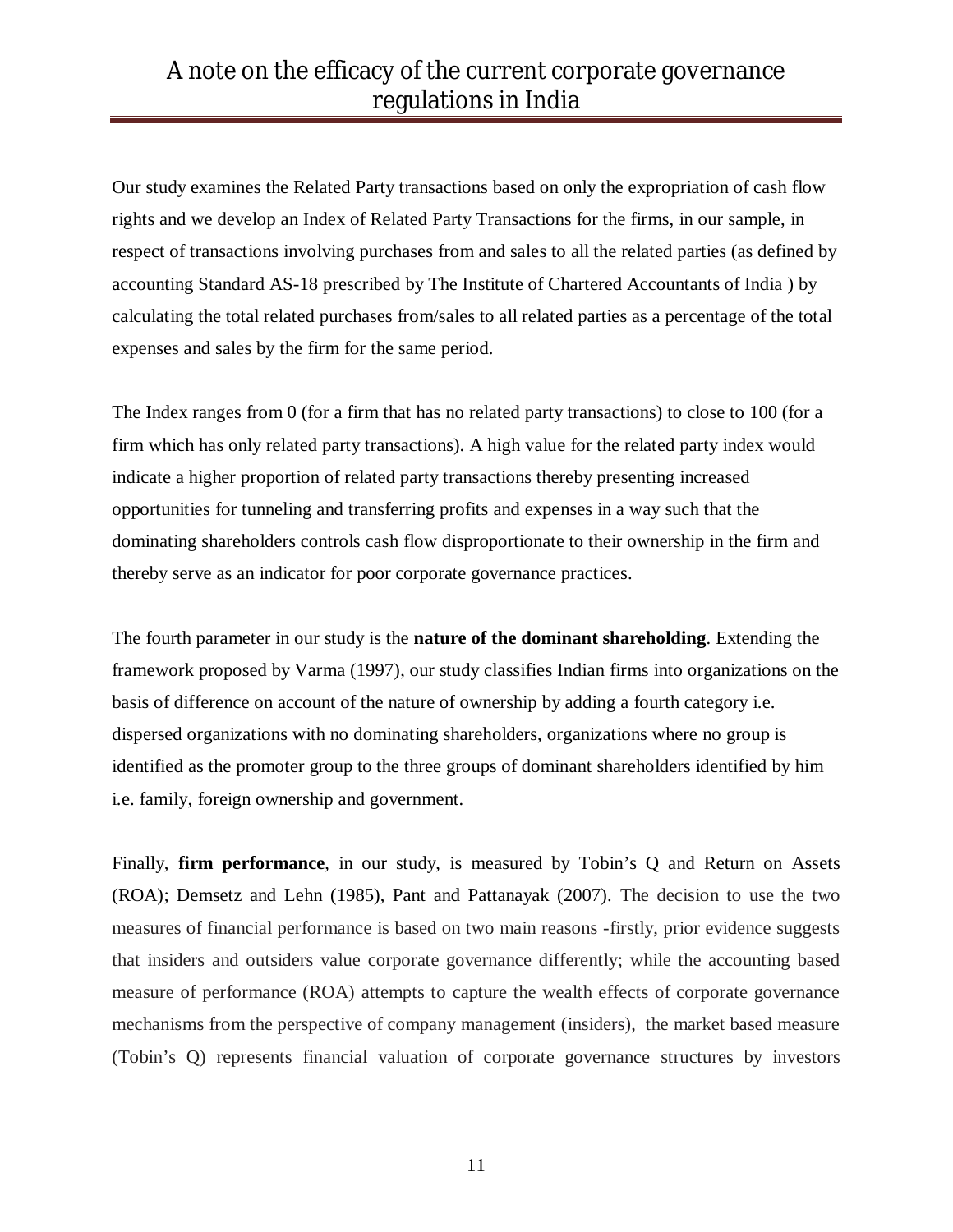Our study examines the Related Party transactions based on only the expropriation of cash flow rights and we develop an Index of Related Party Transactions for the firms, in our sample, in respect of transactions involving purchases from and sales to all the related parties (as defined by accounting Standard AS-18 prescribed by The Institute of Chartered Accountants of India ) by calculating the total related purchases from/sales to all related parties as a percentage of the total expenses and sales by the firm for the same period.

The Index ranges from 0 (for a firm that has no related party transactions) to close to 100 (for a firm which has only related party transactions). A high value for the related party index would indicate a higher proportion of related party transactions thereby presenting increased opportunities for tunneling and transferring profits and expenses in a way such that the dominating shareholders controls cash flow disproportionate to their ownership in the firm and thereby serve as an indicator for poor corporate governance practices.

The fourth parameter in our study is the **nature of the dominant shareholding**. Extending the framework proposed by Varma (1997), our study classifies Indian firms into organizations on the basis of difference on account of the nature of ownership by adding a fourth category i.e. dispersed organizations with no dominating shareholders, organizations where no group is identified as the promoter group to the three groups of dominant shareholders identified by him i.e. family, foreign ownership and government.

Finally, **firm performance**, in our study, is measured by Tobin's Q and Return on Assets (ROA); Demsetz and Lehn (1985), Pant and Pattanayak (2007). The decision to use the two measures of financial performance is based on two main reasons -firstly, prior evidence suggests that insiders and outsiders value corporate governance differently; while the accounting based measure of performance (ROA) attempts to capture the wealth effects of corporate governance mechanisms from the perspective of company management (insiders), the market based measure (Tobin's Q) represents financial valuation of corporate governance structures by investors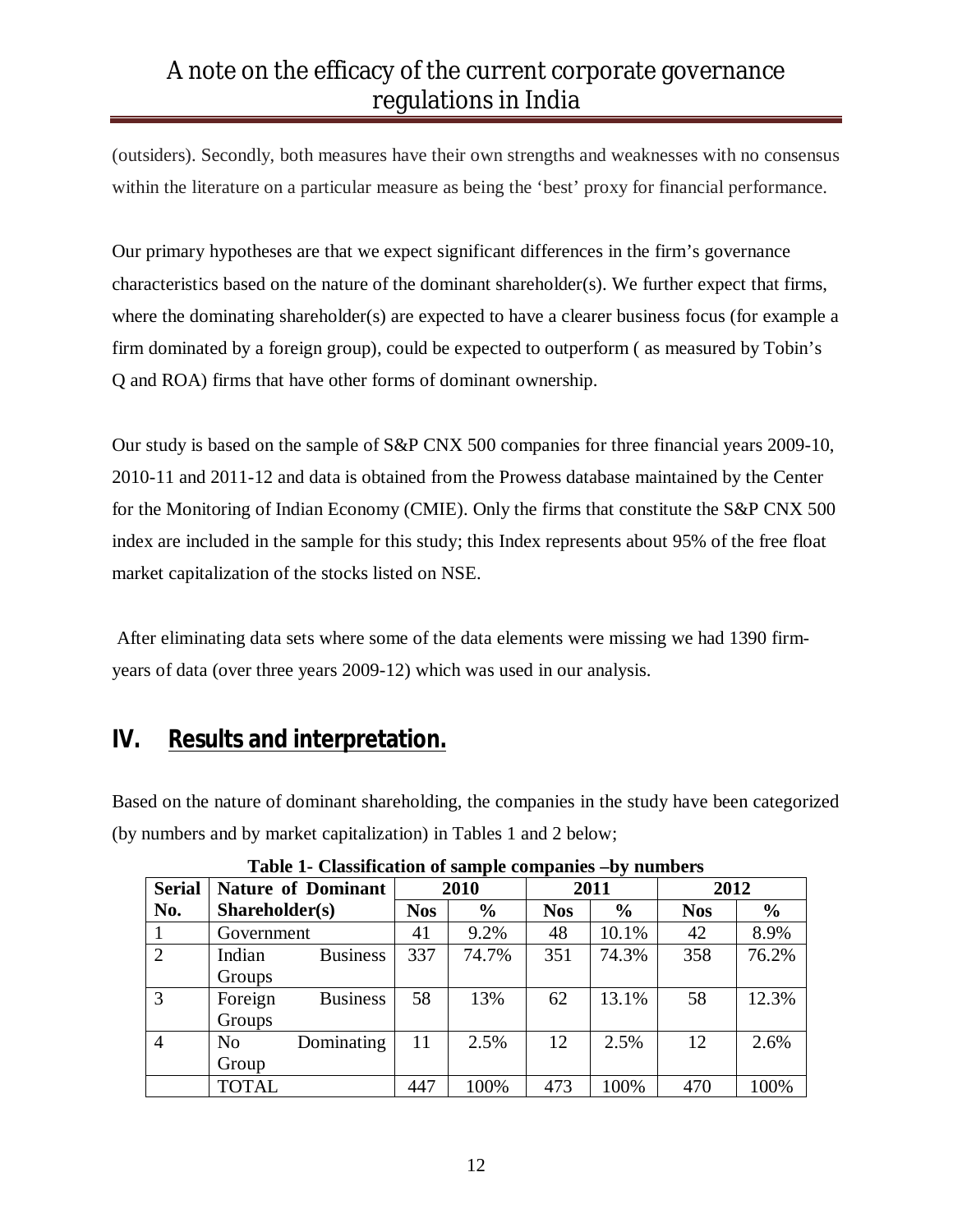(outsiders). Secondly, both measures have their own strengths and weaknesses with no consensus within the literature on a particular measure as being the 'best' proxy for financial performance.

Our primary hypotheses are that we expect significant differences in the firm's governance characteristics based on the nature of the dominant shareholder(s). We further expect that firms, where the dominating shareholder(s) are expected to have a clearer business focus (for example a firm dominated by a foreign group), could be expected to outperform ( as measured by Tobin's Q and ROA) firms that have other forms of dominant ownership.

Our study is based on the sample of S&P CNX 500 companies for three financial years 2009-10, 2010-11 and 2011-12 and data is obtained from the Prowess database maintained by the Center for the Monitoring of Indian Economy (CMIE). Only the firms that constitute the S&P CNX 500 index are included in the sample for this study; this Index represents about 95% of the free float market capitalization of the stocks listed on NSE.

After eliminating data sets where some of the data elements were missing we had 1390 firmyears of data (over three years 2009-12) which was used in our analysis.

# **IV. Results and interpretation.**

Based on the nature of dominant shareholding, the companies in the study have been categorized (by numbers and by market capitalization) in Tables 1 and 2 below;

| <b>Serial</b>  |                | <b>Nature of Dominant</b> | 2010       |               | 2011       |               | 2012       |               |  |  |  |  |
|----------------|----------------|---------------------------|------------|---------------|------------|---------------|------------|---------------|--|--|--|--|
| No.            | Shareholder(s) |                           | <b>Nos</b> | $\frac{6}{6}$ | <b>Nos</b> | $\frac{6}{9}$ | <b>Nos</b> | $\frac{6}{6}$ |  |  |  |  |
| 1              | Government     |                           | 41         | 9.2%          | 48         | 10.1%         | 42         | 8.9%          |  |  |  |  |
| 2              | Indian         | <b>Business</b>           | 337        | 74.7%         | 351        | 74.3%         | 358        | 76.2%         |  |  |  |  |
|                | Groups         |                           |            |               |            |               |            |               |  |  |  |  |
| 3              | Foreign        | <b>Business</b>           | 58         | 13%           | 62         | 13.1%         | 58         | 12.3%         |  |  |  |  |
|                | Groups         |                           |            |               |            |               |            |               |  |  |  |  |
| $\overline{4}$ | No             | Dominating                | 11         | 2.5%          | 12         | 2.5%          | 12         | 2.6%          |  |  |  |  |
|                | Group          |                           |            |               |            |               |            |               |  |  |  |  |
|                | <b>TOTAL</b>   |                           | 447        | 100%          | 473        | 100%          | 470        | 100%          |  |  |  |  |

**Table 1- Classification of sample companies –by numbers**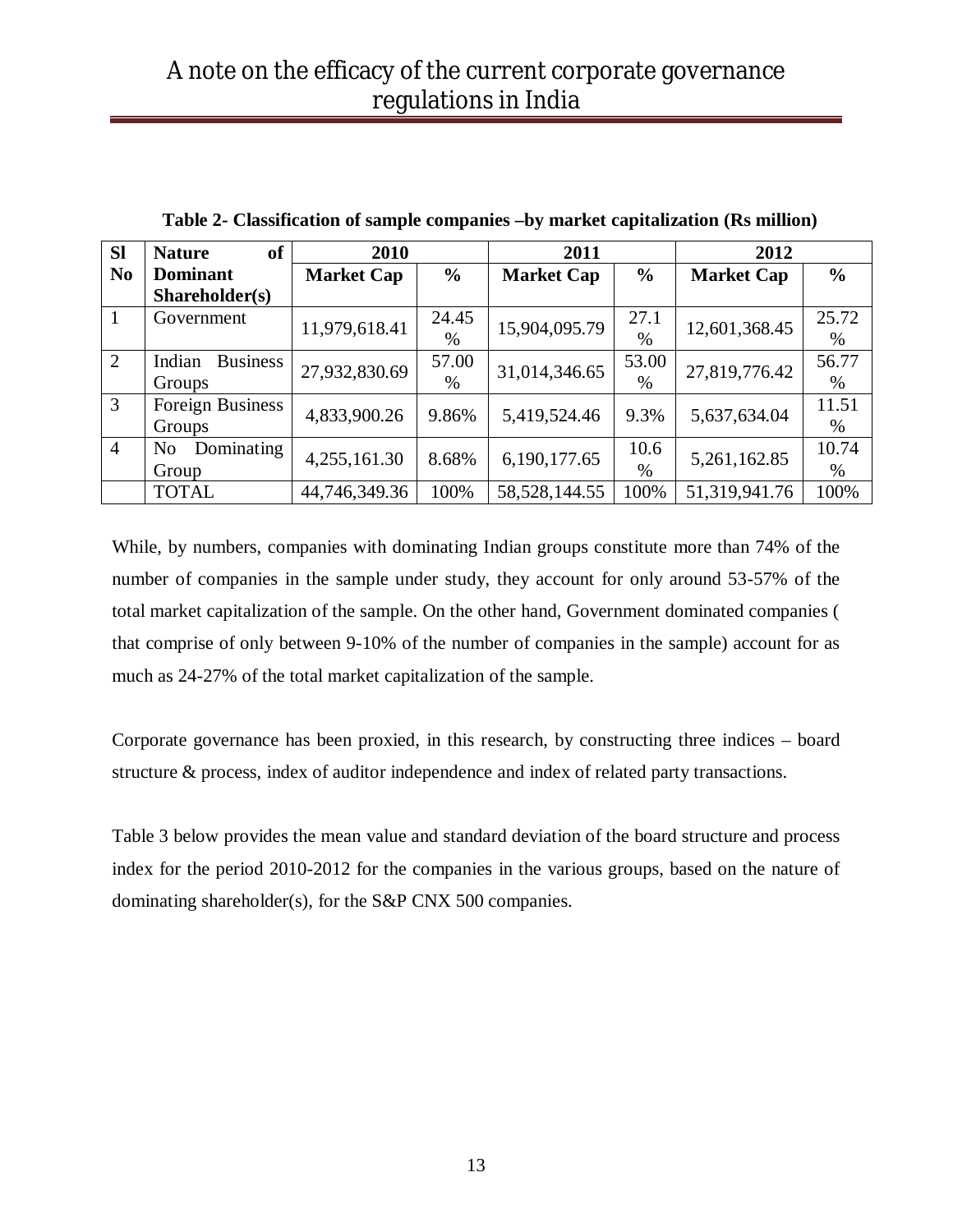| <b>Sl</b>      | <b>of</b><br><b>Nature</b>   | 2010              |               | 2011              |               | 2012              |               |
|----------------|------------------------------|-------------------|---------------|-------------------|---------------|-------------------|---------------|
| N <sub>0</sub> | <b>Dominant</b>              | <b>Market Cap</b> | $\frac{0}{0}$ | <b>Market Cap</b> | $\frac{6}{9}$ | <b>Market Cap</b> | $\frac{0}{0}$ |
|                | Shareholder(s)               |                   |               |                   |               |                   |               |
| $\mathbf{1}$   | Government                   | 11,979,618.41     | 24.45         | 15,904,095.79     | 27.1          | 12,601,368.45     | 25.72         |
|                |                              |                   | $\%$          |                   | $\%$          |                   | %             |
| 2              | <b>Business</b><br>Indian    | 27,932,830.69     | 57.00         | 31,014,346.65     | 53.00         | 27,819,776.42     | 56.77         |
|                | Groups                       |                   | $\%$          |                   | %             |                   | %             |
| $\overline{3}$ | Foreign Business             | 4,833,900.26      | 9.86%         | 5,419,524.46      | 9.3%          | 5,637,634.04      | 11.51         |
|                | Groups                       |                   |               |                   |               |                   | $\%$          |
| $\overline{4}$ | Dominating<br>N <sub>0</sub> | 4,255,161.30      | 8.68%         | 6,190,177.65      | 10.6          | 5,261,162.85      | 10.74         |
|                | Group                        |                   |               |                   | $\%$          |                   | %             |
|                | <b>TOTAL</b>                 | 44,746,349.36     | 100%          | 58, 528, 144. 55  | 100%          | 51,319,941.76     | 100%          |

**Table 2- Classification of sample companies –by market capitalization (Rs million)**

While, by numbers, companies with dominating Indian groups constitute more than 74% of the number of companies in the sample under study, they account for only around 53-57% of the total market capitalization of the sample. On the other hand, Government dominated companies ( that comprise of only between 9-10% of the number of companies in the sample) account for as much as 24-27% of the total market capitalization of the sample.

Corporate governance has been proxied, in this research, by constructing three indices – board structure & process, index of auditor independence and index of related party transactions.

Table 3 below provides the mean value and standard deviation of the board structure and process index for the period 2010-2012 for the companies in the various groups, based on the nature of dominating shareholder(s), for the S&P CNX 500 companies.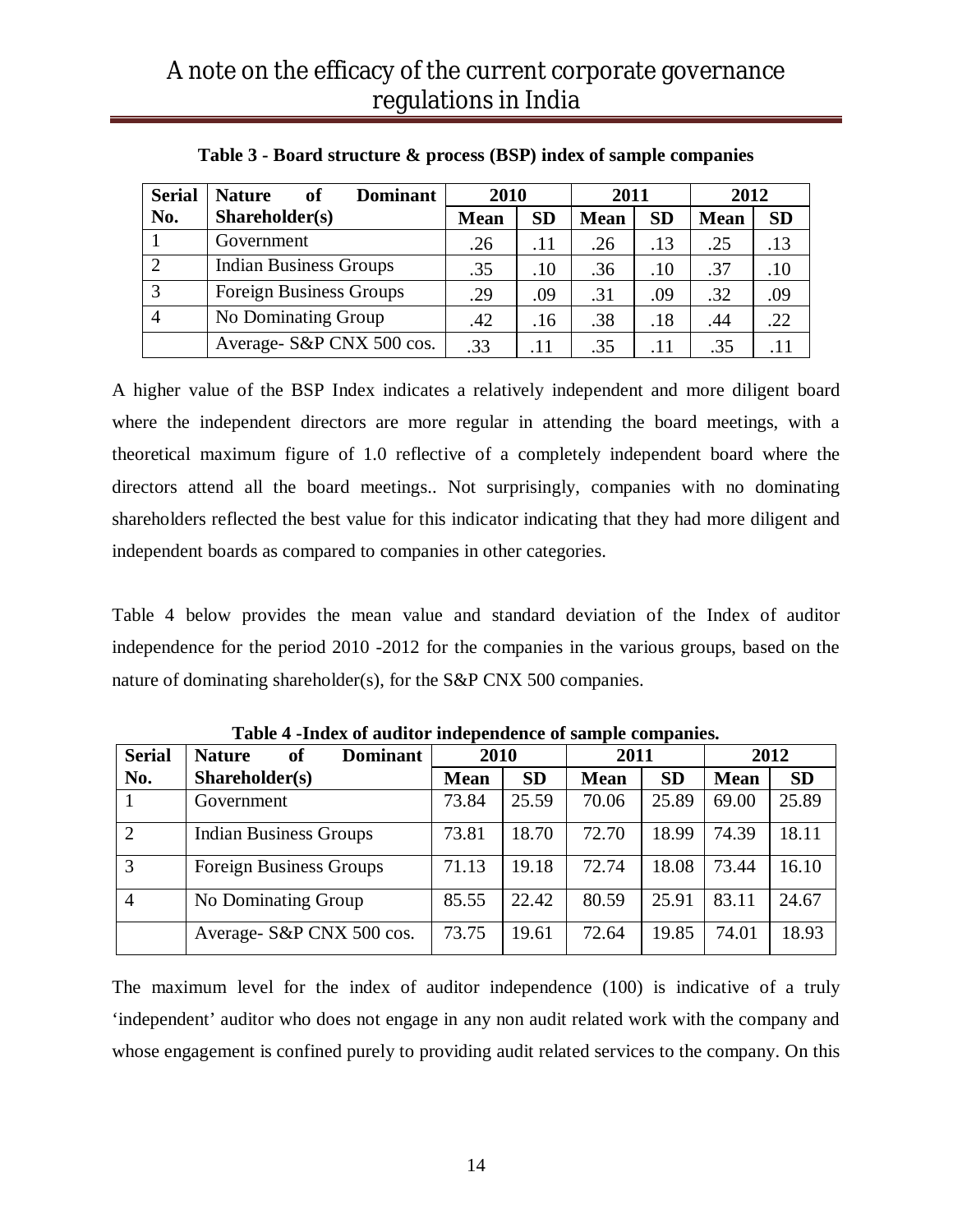| <b>Serial</b>  | <b>Nature</b><br><b>Dominant</b><br>of | 2010        |           | 2011        |           | 2012        |           |
|----------------|----------------------------------------|-------------|-----------|-------------|-----------|-------------|-----------|
| No.            | Shareholder(s)                         | <b>Mean</b> | <b>SD</b> | <b>Mean</b> | <b>SD</b> | <b>Mean</b> | <b>SD</b> |
|                | Government                             | .26         | .11       | .26         | .13       | .25         | .13       |
| 2              | <b>Indian Business Groups</b>          | .35         | .10       | .36         | .10       | .37         | .10       |
| $\overline{3}$ | <b>Foreign Business Groups</b>         | .29         | .09       | .31         | .09       | .32         | .09       |
| $\overline{4}$ | No Dominating Group                    | .42         | .16       | .38         | .18       | .44         | .22       |
|                | Average- S&P CNX 500 cos.              | .33         | .11       | .35         | .11       | .35         |           |

**Table 3 - Board structure & process (BSP) index of sample companies**

A higher value of the BSP Index indicates a relatively independent and more diligent board where the independent directors are more regular in attending the board meetings, with a theoretical maximum figure of 1.0 reflective of a completely independent board where the directors attend all the board meetings.. Not surprisingly, companies with no dominating shareholders reflected the best value for this indicator indicating that they had more diligent and independent boards as compared to companies in other categories.

Table 4 below provides the mean value and standard deviation of the Index of auditor independence for the period 2010 -2012 for the companies in the various groups, based on the nature of dominating shareholder(s), for the S&P CNX 500 companies.

| <b>Serial</b>  | <b>of</b><br><b>Dominant</b><br><b>Nature</b> | 2010        |           | 2011        |           | 2012        |           |
|----------------|-----------------------------------------------|-------------|-----------|-------------|-----------|-------------|-----------|
| No.            | Shareholder(s)                                | <b>Mean</b> | <b>SD</b> | <b>Mean</b> | <b>SD</b> | <b>Mean</b> | <b>SD</b> |
|                | Government                                    | 73.84       | 25.59     | 70.06       | 25.89     | 69.00       | 25.89     |
| $\overline{2}$ | <b>Indian Business Groups</b>                 | 73.81       | 18.70     | 72.70       | 18.99     | 74.39       | 18.11     |
| 3              | <b>Foreign Business Groups</b>                | 71.13       | 19.18     | 72.74       | 18.08     | 73.44       | 16.10     |
| 4              | No Dominating Group                           | 85.55       | 22.42     | 80.59       | 25.91     | 83.11       | 24.67     |
|                | Average- S&P CNX 500 cos.                     | 73.75       | 19.61     | 72.64       | 19.85     | 74.01       | 18.93     |

**Table 4 -Index of auditor independence of sample companies.**

The maximum level for the index of auditor independence (100) is indicative of a truly 'independent' auditor who does not engage in any non audit related work with the company and whose engagement is confined purely to providing audit related services to the company. On this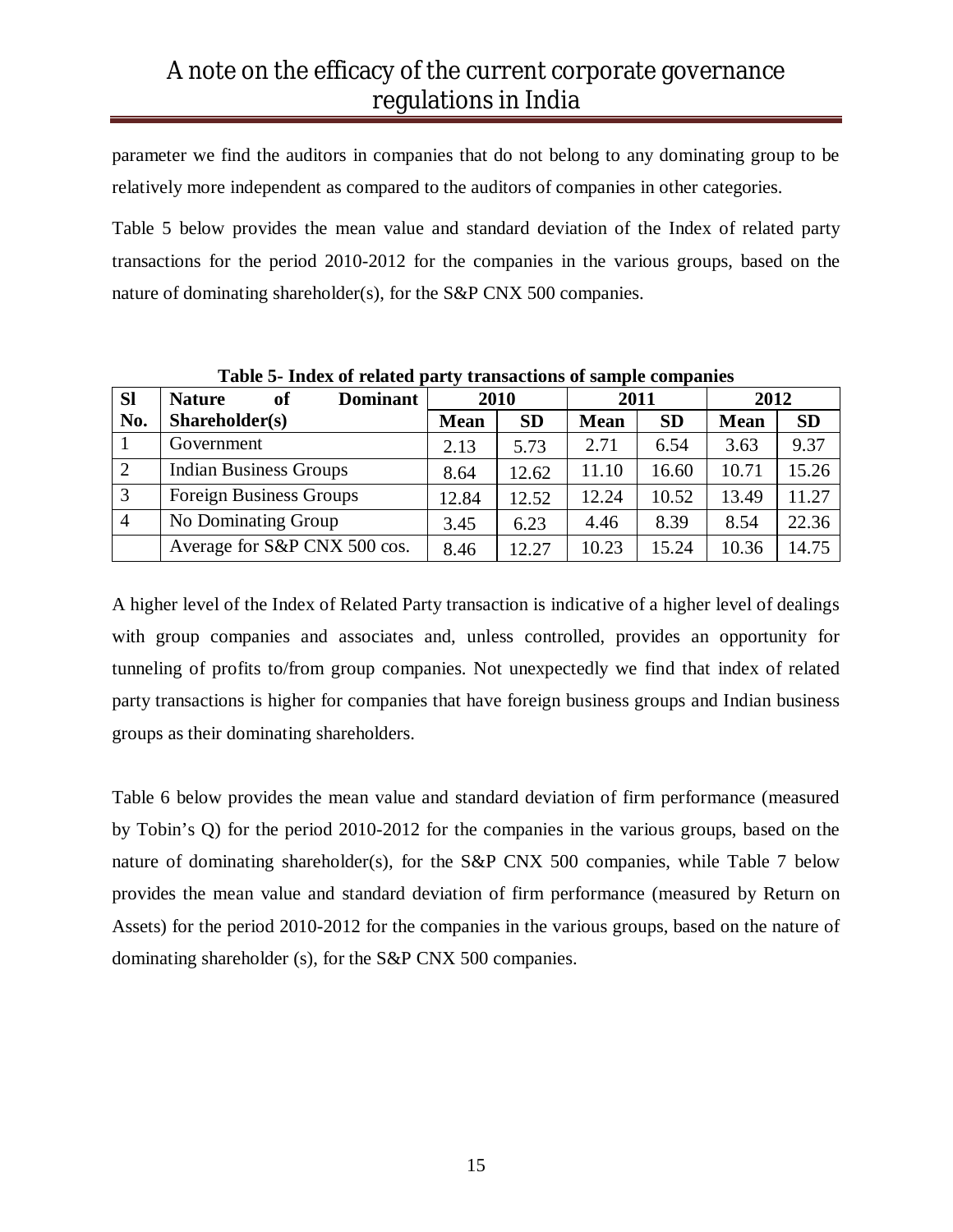parameter we find the auditors in companies that do not belong to any dominating group to be relatively more independent as compared to the auditors of companies in other categories.

Table 5 below provides the mean value and standard deviation of the Index of related party transactions for the period 2010-2012 for the companies in the various groups, based on the nature of dominating shareholder(s), for the S&P CNX 500 companies.

| <b>Sl</b>      | <b>Dominant</b><br><b>Nature</b><br><b>of</b> |             | 2010      | 2011        |           | 2012        |           |
|----------------|-----------------------------------------------|-------------|-----------|-------------|-----------|-------------|-----------|
| No.            | Shareholder(s)                                | <b>Mean</b> | <b>SD</b> | <b>Mean</b> | <b>SD</b> | <b>Mean</b> | <b>SD</b> |
|                | Government                                    | 2.13        | 5.73      | 2.71        | 6.54      | 3.63        | 9.37      |
| 2              | <b>Indian Business Groups</b>                 | 8.64        | 12.62     | 11.10       | 16.60     | 10.71       | 15.26     |
| 3              | <b>Foreign Business Groups</b>                | 12.84       | 12.52     | 12.24       | 10.52     | 13.49       | 11.27     |
| $\overline{4}$ | No Dominating Group                           | 3.45        | 6.23      | 4.46        | 8.39      | 8.54        | 22.36     |
|                | Average for S&P CNX 500 cos.                  | 8.46        | 12.27     | 10.23       | 15.24     | 10.36       | 14.75     |

**Table 5- Index of related party transactions of sample companies**

A higher level of the Index of Related Party transaction is indicative of a higher level of dealings with group companies and associates and, unless controlled, provides an opportunity for tunneling of profits to/from group companies. Not unexpectedly we find that index of related party transactions is higher for companies that have foreign business groups and Indian business groups as their dominating shareholders.

Table 6 below provides the mean value and standard deviation of firm performance (measured by Tobin's Q) for the period 2010-2012 for the companies in the various groups, based on the nature of dominating shareholder(s), for the S&P CNX 500 companies, while Table 7 below provides the mean value and standard deviation of firm performance (measured by Return on Assets) for the period 2010-2012 for the companies in the various groups, based on the nature of dominating shareholder (s), for the S&P CNX 500 companies.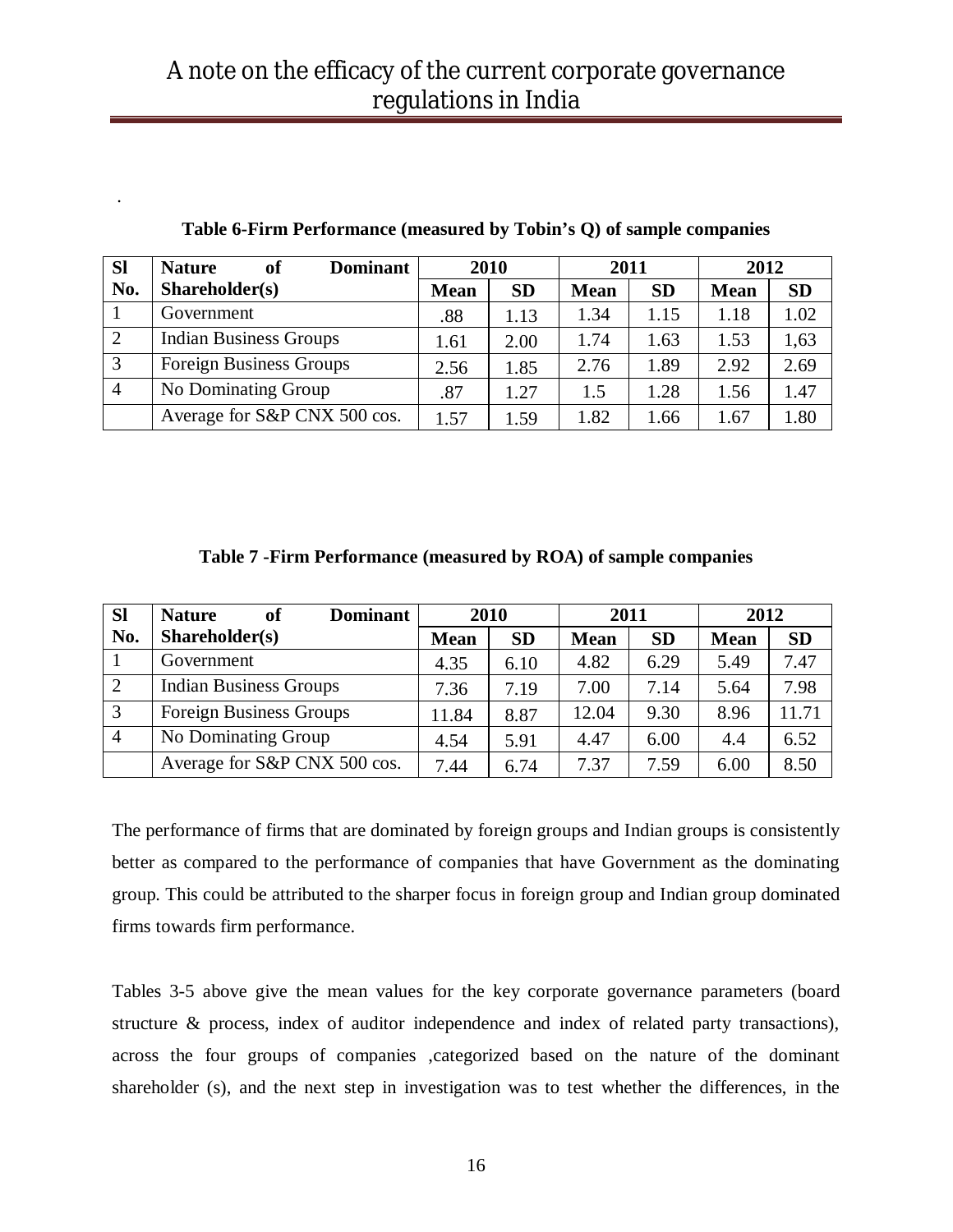| <b>SI</b>      | <b>Dominant</b><br><b>Nature</b><br>of |             | 2010      |             | 2011      |             | 2012      |
|----------------|----------------------------------------|-------------|-----------|-------------|-----------|-------------|-----------|
| No.            | Shareholder(s)                         | <b>Mean</b> | <b>SD</b> | <b>Mean</b> | <b>SD</b> | <b>Mean</b> | <b>SD</b> |
|                | Government                             | .88         | 1.13      | 1.34        | 1.15      | 1.18        | 1.02      |
| 2              | <b>Indian Business Groups</b>          | 1.61        | 2.00      | 1.74        | 1.63      | 1.53        | 1,63      |
| 3              | <b>Foreign Business Groups</b>         | 2.56        | 1.85      | 2.76        | 1.89      | 2.92        | 2.69      |
| $\overline{4}$ | No Dominating Group                    | .87         | 1.27      | 1.5         | 1.28      | 1.56        | 1.47      |
|                | Average for S&P CNX 500 cos.           | 1.57        | 1.59      | 1.82        | 1.66      | 1.67        | .80       |

**Table 6-Firm Performance (measured by Tobin's Q) of sample companies** 

.

**Table 7 -Firm Performance (measured by ROA) of sample companies**

| <b>SI</b>      | <b>Nature</b><br><b>Dominant</b><br>of |             | 2010      | 2011        |           | 2012        |           |
|----------------|----------------------------------------|-------------|-----------|-------------|-----------|-------------|-----------|
| No.            | Shareholder(s)                         | <b>Mean</b> | <b>SD</b> | <b>Mean</b> | <b>SD</b> | <b>Mean</b> | <b>SD</b> |
|                | Government                             | 4.35        | 6.10      | 4.82        | 6.29      | 5.49        | 7.47      |
| $\sqrt{2}$     | <b>Indian Business Groups</b>          | 7.36        | 7.19      | 7.00        | 7.14      | 5.64        | 7.98      |
| $\overline{3}$ | <b>Foreign Business Groups</b>         | 11.84       | 8.87      | 12.04       | 9.30      | 8.96        | 11.71     |
| $\overline{4}$ | No Dominating Group                    | 4.54        | 5.91      | 4.47        | 6.00      | 4.4         | 6.52      |
|                | Average for S&P CNX 500 cos.           | 7.44        | 6.74      | 7.37        | 7.59      | 6.00        | 8.50      |

The performance of firms that are dominated by foreign groups and Indian groups is consistently better as compared to the performance of companies that have Government as the dominating group. This could be attributed to the sharper focus in foreign group and Indian group dominated firms towards firm performance.

Tables 3-5 above give the mean values for the key corporate governance parameters (board structure & process, index of auditor independence and index of related party transactions), across the four groups of companies ,categorized based on the nature of the dominant shareholder (s), and the next step in investigation was to test whether the differences, in the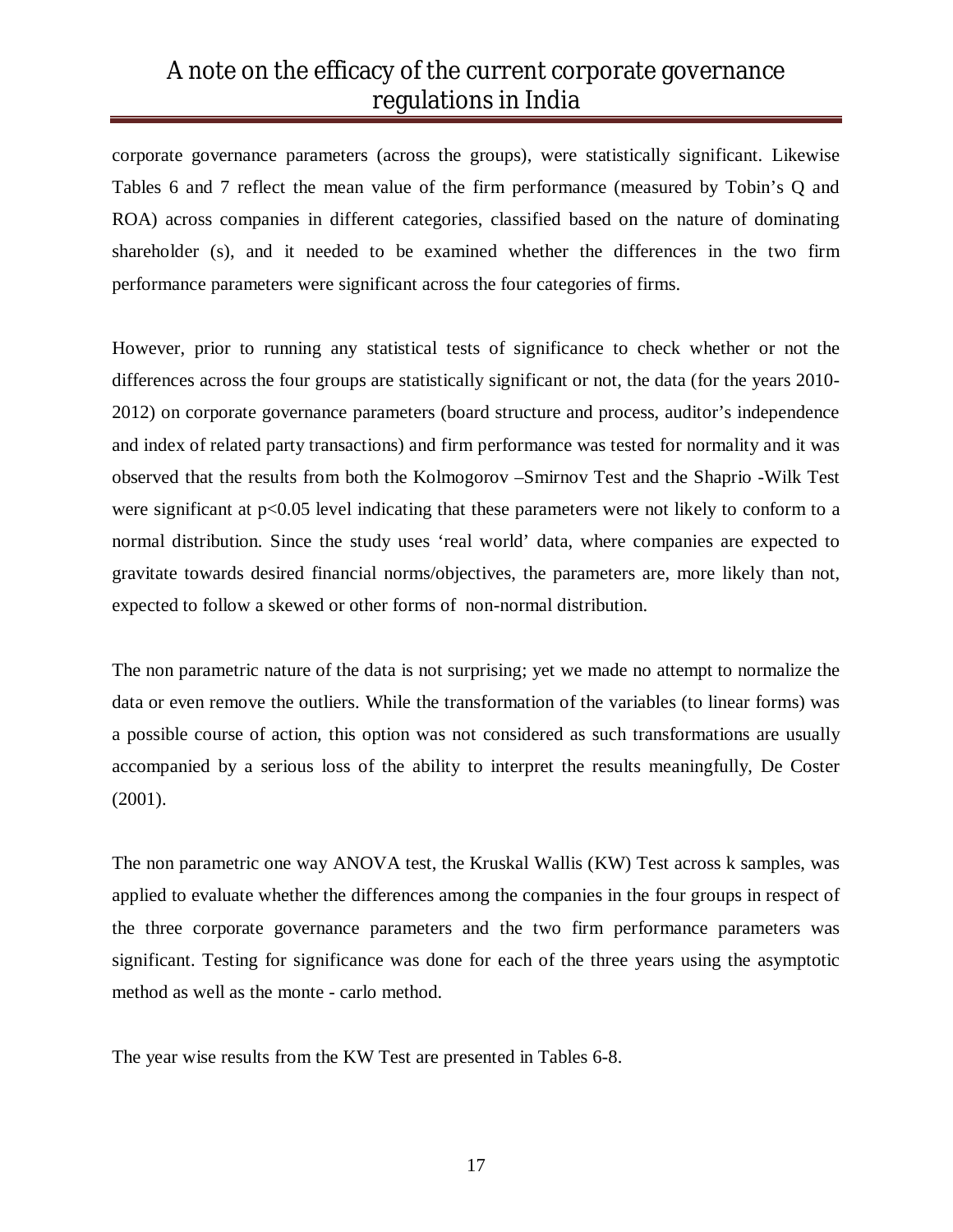corporate governance parameters (across the groups), were statistically significant. Likewise Tables 6 and 7 reflect the mean value of the firm performance (measured by Tobin's Q and ROA) across companies in different categories, classified based on the nature of dominating shareholder (s), and it needed to be examined whether the differences in the two firm performance parameters were significant across the four categories of firms.

However, prior to running any statistical tests of significance to check whether or not the differences across the four groups are statistically significant or not, the data (for the years 2010- 2012) on corporate governance parameters (board structure and process, auditor's independence and index of related party transactions) and firm performance was tested for normality and it was observed that the results from both the Kolmogorov –Smirnov Test and the Shaprio -Wilk Test were significant at  $p<0.05$  level indicating that these parameters were not likely to conform to a normal distribution. Since the study uses 'real world' data, where companies are expected to gravitate towards desired financial norms/objectives, the parameters are, more likely than not, expected to follow a skewed or other forms of non-normal distribution.

The non parametric nature of the data is not surprising; yet we made no attempt to normalize the data or even remove the outliers. While the transformation of the variables (to linear forms) was a possible course of action, this option was not considered as such transformations are usually accompanied by a serious loss of the ability to interpret the results meaningfully, De Coster (2001).

The non parametric one way ANOVA test, the Kruskal Wallis (KW) Test across k samples, was applied to evaluate whether the differences among the companies in the four groups in respect of the three corporate governance parameters and the two firm performance parameters was significant. Testing for significance was done for each of the three years using the asymptotic method as well as the monte - carlo method.

The year wise results from the KW Test are presented in Tables 6-8.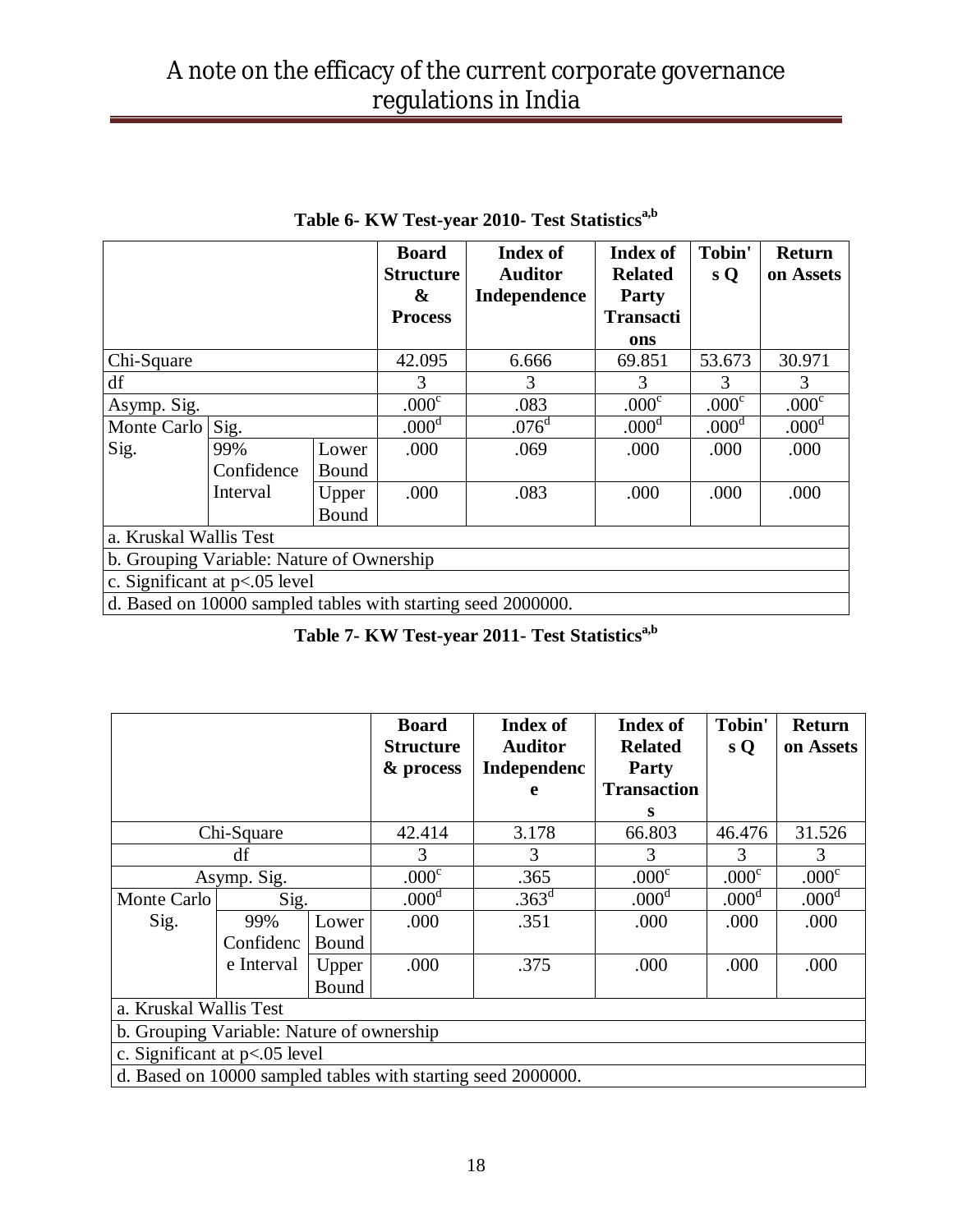|                                           |                   |                | <b>Board</b><br><b>Structure</b><br>&<br><b>Process</b> | <b>Index of</b><br><b>Auditor</b><br>Independence            | <b>Index of</b><br><b>Related</b><br><b>Party</b><br><b>Transacti</b> | Tobin'<br>s Q     | Return<br>on Assets |  |
|-------------------------------------------|-------------------|----------------|---------------------------------------------------------|--------------------------------------------------------------|-----------------------------------------------------------------------|-------------------|---------------------|--|
| Chi-Square                                |                   | 42.095         | 6.666                                                   | ons<br>69.851                                                | 53.673                                                                | 30.971            |                     |  |
| df                                        |                   |                | 3                                                       | 3                                                            | 3                                                                     | $\mathcal{R}$     | 3                   |  |
| Asymp. Sig.                               |                   |                | .000 <sup>c</sup>                                       | .083                                                         | .000 <sup>c</sup>                                                     | .000 <sup>c</sup> | .000 <sup>c</sup>   |  |
| Monte Carlo Sig.                          |                   |                | .000 <sup>d</sup>                                       | .076 <sup>d</sup>                                            | .000 <sup>d</sup>                                                     | .000 <sup>d</sup> | .000 <sup>d</sup>   |  |
| Sig.                                      | 99%<br>Confidence | Lower<br>Bound | .000                                                    | .069                                                         | .000                                                                  | .000              | .000                |  |
|                                           | Interval          | Upper<br>Bound | .000                                                    | .083                                                         | .000                                                                  | .000              | .000                |  |
| a. Kruskal Wallis Test                    |                   |                |                                                         |                                                              |                                                                       |                   |                     |  |
| b. Grouping Variable: Nature of Ownership |                   |                |                                                         |                                                              |                                                                       |                   |                     |  |
| c. Significant at $p<0.05$ level          |                   |                |                                                         |                                                              |                                                                       |                   |                     |  |
|                                           |                   |                |                                                         | d. Based on 10000 sampled tables with starting seed 2000000. |                                                                       |                   |                     |  |

## **Table 6- KW Test-year 2010- Test Statisticsa,b**

**Table 7- KW Test-year 2011- Test Statisticsa,b**

|                                           |                                  |       | <b>Board</b><br><b>Structure</b> | <b>Index of</b><br><b>Auditor</b>                            | <b>Index of</b><br><b>Related</b> | Tobin'<br>s Q     | <b>Return</b><br>on Assets |  |  |  |
|-------------------------------------------|----------------------------------|-------|----------------------------------|--------------------------------------------------------------|-----------------------------------|-------------------|----------------------------|--|--|--|
|                                           |                                  |       | & process                        | Independenc<br>e                                             | Party<br><b>Transaction</b>       |                   |                            |  |  |  |
|                                           |                                  |       |                                  |                                                              | s                                 |                   |                            |  |  |  |
| Chi-Square                                |                                  |       | 42.414                           | 3.178                                                        | 66.803                            | 46.476            | 31.526                     |  |  |  |
| df                                        |                                  |       |                                  | 3                                                            |                                   | 3                 | 3                          |  |  |  |
| Asymp. Sig.                               |                                  |       | .000 <sup>c</sup>                | .365                                                         | .000 <sup>c</sup>                 | .000 <sup>c</sup> | .000 <sup>c</sup>          |  |  |  |
| Monte Carlo                               | Sig.                             |       | .000 <sup>d</sup>                | $.363^{\rm d}$                                               | .000 <sup>d</sup>                 | .000 <sup>d</sup> | .000 <sup>d</sup>          |  |  |  |
| Sig.                                      | 99%                              | Lower | .000                             | .351                                                         | .000                              | .000              | .000                       |  |  |  |
|                                           | Confidenc                        | Bound |                                  |                                                              |                                   |                   |                            |  |  |  |
|                                           | e Interval                       | Upper | .000                             | .375                                                         | .000                              | .000              | .000                       |  |  |  |
|                                           |                                  | Bound |                                  |                                                              |                                   |                   |                            |  |  |  |
| a. Kruskal Wallis Test                    |                                  |       |                                  |                                                              |                                   |                   |                            |  |  |  |
| b. Grouping Variable: Nature of ownership |                                  |       |                                  |                                                              |                                   |                   |                            |  |  |  |
|                                           | c. Significant at $p<0.05$ level |       |                                  |                                                              |                                   |                   |                            |  |  |  |
|                                           |                                  |       |                                  | d. Based on 10000 sampled tables with starting seed 2000000. |                                   |                   |                            |  |  |  |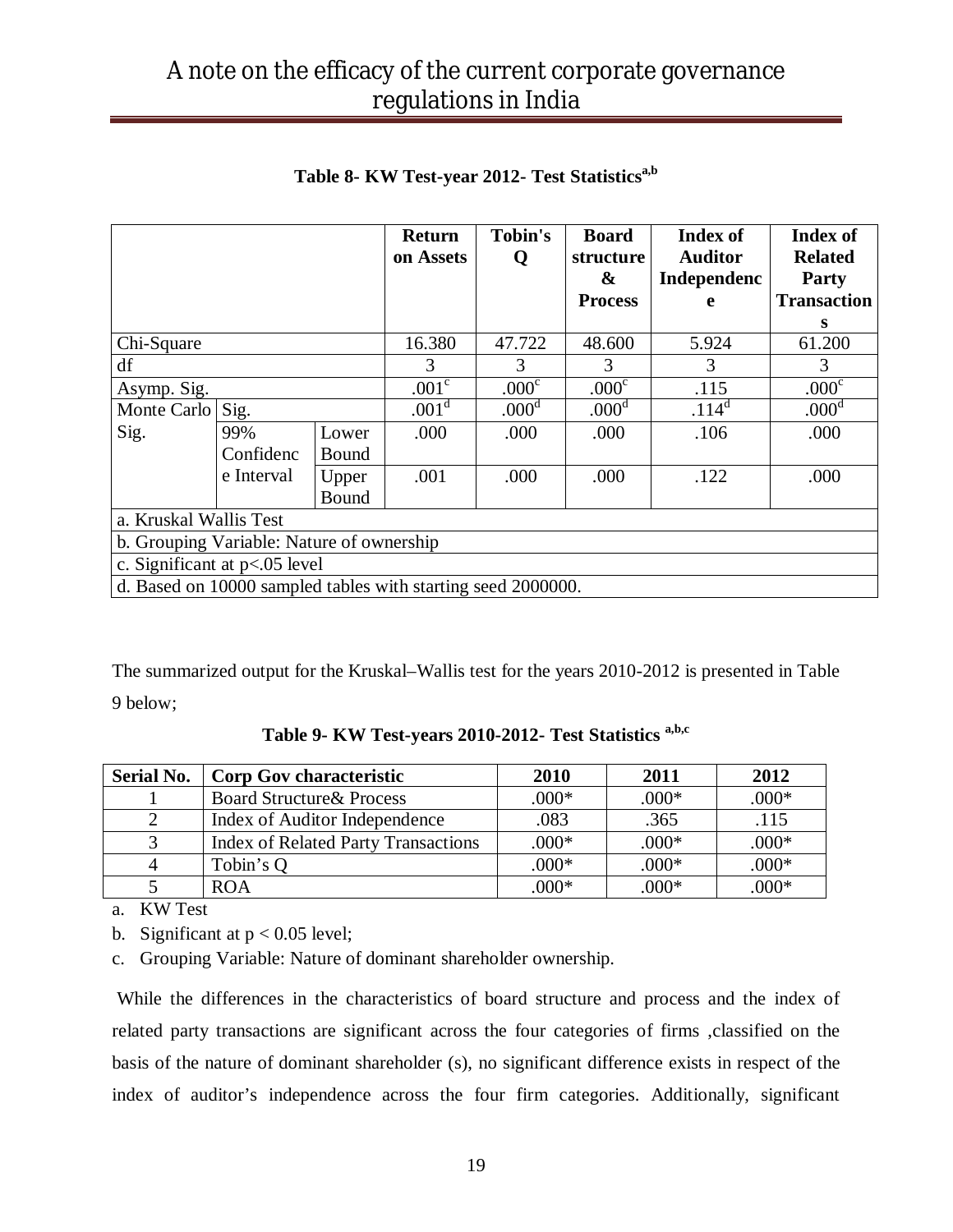|                                                              |                  |                | <b>Return</b><br>on Assets | Tobin's<br>Q      | <b>Board</b><br>structure<br>&<br><b>Process</b> | <b>Index of</b><br><b>Auditor</b><br>Independenc<br>e | <b>Index of</b><br><b>Related</b><br>Party<br><b>Transaction</b><br>S |  |  |
|--------------------------------------------------------------|------------------|----------------|----------------------------|-------------------|--------------------------------------------------|-------------------------------------------------------|-----------------------------------------------------------------------|--|--|
| Chi-Square                                                   |                  |                | 16.380                     | 47.722            | 48.600                                           | 5.924                                                 | 61.200                                                                |  |  |
| df                                                           |                  |                | 3                          | $\mathcal{F}$     | $\mathcal{R}$                                    | 3                                                     | 3                                                                     |  |  |
| Asymp. Sig.                                                  |                  |                | .001 <sup>c</sup>          | .000 <sup>c</sup> | .000 <sup>c</sup>                                | .115                                                  | .000 <sup>c</sup>                                                     |  |  |
| Monte Carlo                                                  | Sig.             |                | .001 <sup>d</sup>          | .000 <sup>d</sup> | .000 <sup>d</sup>                                | $.114^{d}$                                            | .000 <sup>d</sup>                                                     |  |  |
| Sig.                                                         | 99%<br>Confidenc | Lower<br>Bound | .000                       | .000              | .000                                             | .106                                                  | .000                                                                  |  |  |
|                                                              | e Interval       | Upper<br>Bound | .001                       | .000              | .000                                             | .122                                                  | .000                                                                  |  |  |
| a. Kruskal Wallis Test                                       |                  |                |                            |                   |                                                  |                                                       |                                                                       |  |  |
| b. Grouping Variable: Nature of ownership                    |                  |                |                            |                   |                                                  |                                                       |                                                                       |  |  |
| c. Significant at p<.05 level                                |                  |                |                            |                   |                                                  |                                                       |                                                                       |  |  |
| d. Based on 10000 sampled tables with starting seed 2000000. |                  |                |                            |                   |                                                  |                                                       |                                                                       |  |  |

### **Table 8- KW Test-year 2012- Test Statisticsa,b**

The summarized output for the Kruskal–Wallis test for the years 2010-2012 is presented in Table 9 below;

|  |  |  | Table 9- KW Test-years 2010-2012- Test Statistics a,b,c |
|--|--|--|---------------------------------------------------------|
|--|--|--|---------------------------------------------------------|

| <b>Serial No.</b> | <b>Corp Gov characteristic</b>             | 2010    | 2011    | 2012    |
|-------------------|--------------------------------------------|---------|---------|---------|
|                   | <b>Board Structure &amp; Process</b>       | $.000*$ | $.000*$ | $.000*$ |
|                   | Index of Auditor Independence              | .083    | .365    | .115    |
|                   | <b>Index of Related Party Transactions</b> | $.000*$ | $.000*$ | $.000*$ |
|                   | Tobin's Q                                  | $.000*$ | $.000*$ | $.000*$ |
|                   | <b>ROA</b>                                 | $.000*$ | $.000*$ | $000*$  |

a. KW Test

b. Significant at  $p < 0.05$  level;

c. Grouping Variable: Nature of dominant shareholder ownership.

While the differences in the characteristics of board structure and process and the index of related party transactions are significant across the four categories of firms ,classified on the basis of the nature of dominant shareholder (s), no significant difference exists in respect of the index of auditor's independence across the four firm categories. Additionally, significant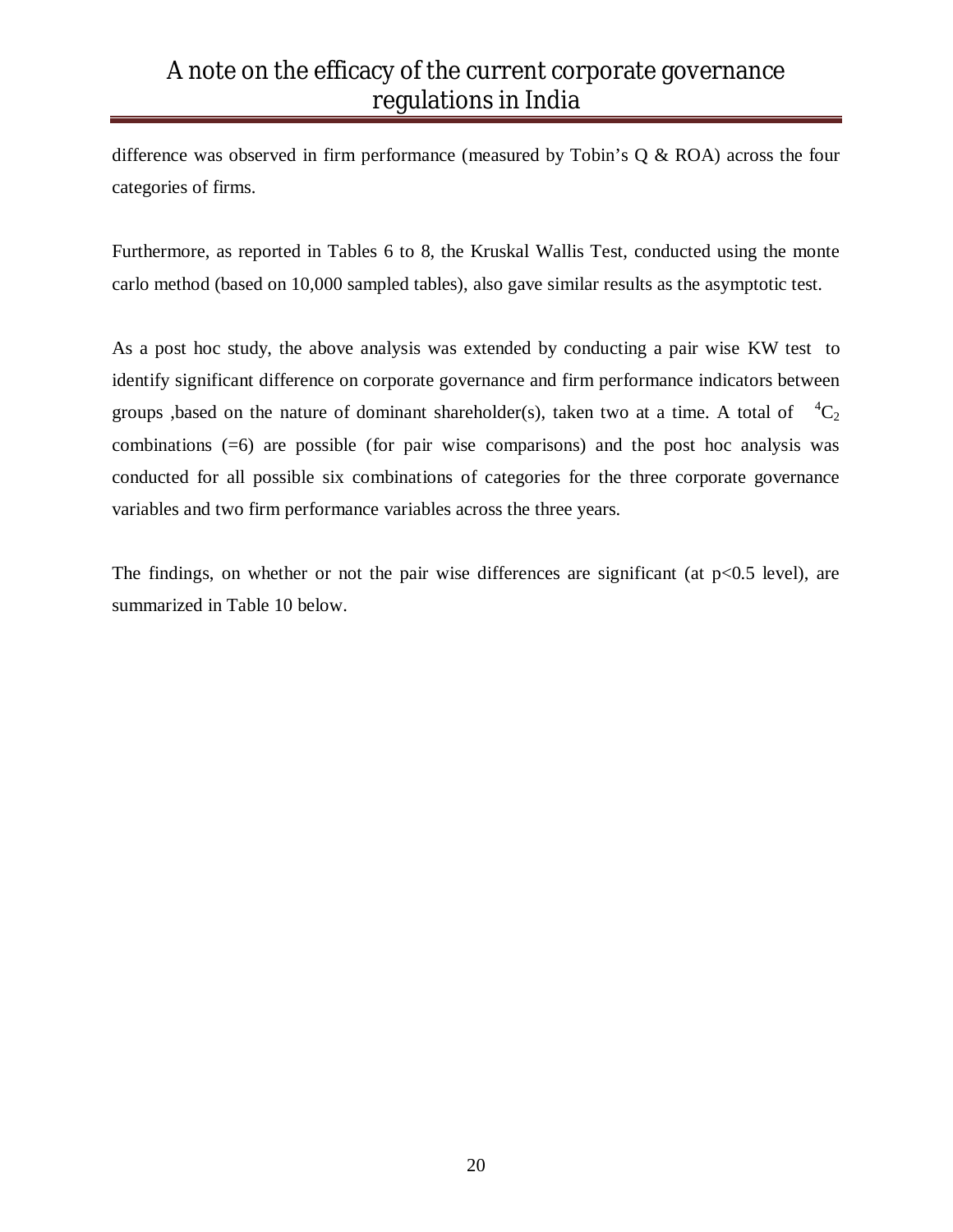difference was observed in firm performance (measured by Tobin's Q & ROA) across the four categories of firms.

Furthermore, as reported in Tables 6 to 8, the Kruskal Wallis Test, conducted using the monte carlo method (based on 10,000 sampled tables), also gave similar results as the asymptotic test.

As a post hoc study, the above analysis was extended by conducting a pair wise KW test to identify significant difference on corporate governance and firm performance indicators between groups ,based on the nature of dominant shareholder(s), taken two at a time. A total of  ${}^{4}C_{2}$ combinations (=6) are possible (for pair wise comparisons) and the post hoc analysis was conducted for all possible six combinations of categories for the three corporate governance variables and two firm performance variables across the three years.

The findings, on whether or not the pair wise differences are significant (at  $p<0.5$  level), are summarized in Table 10 below.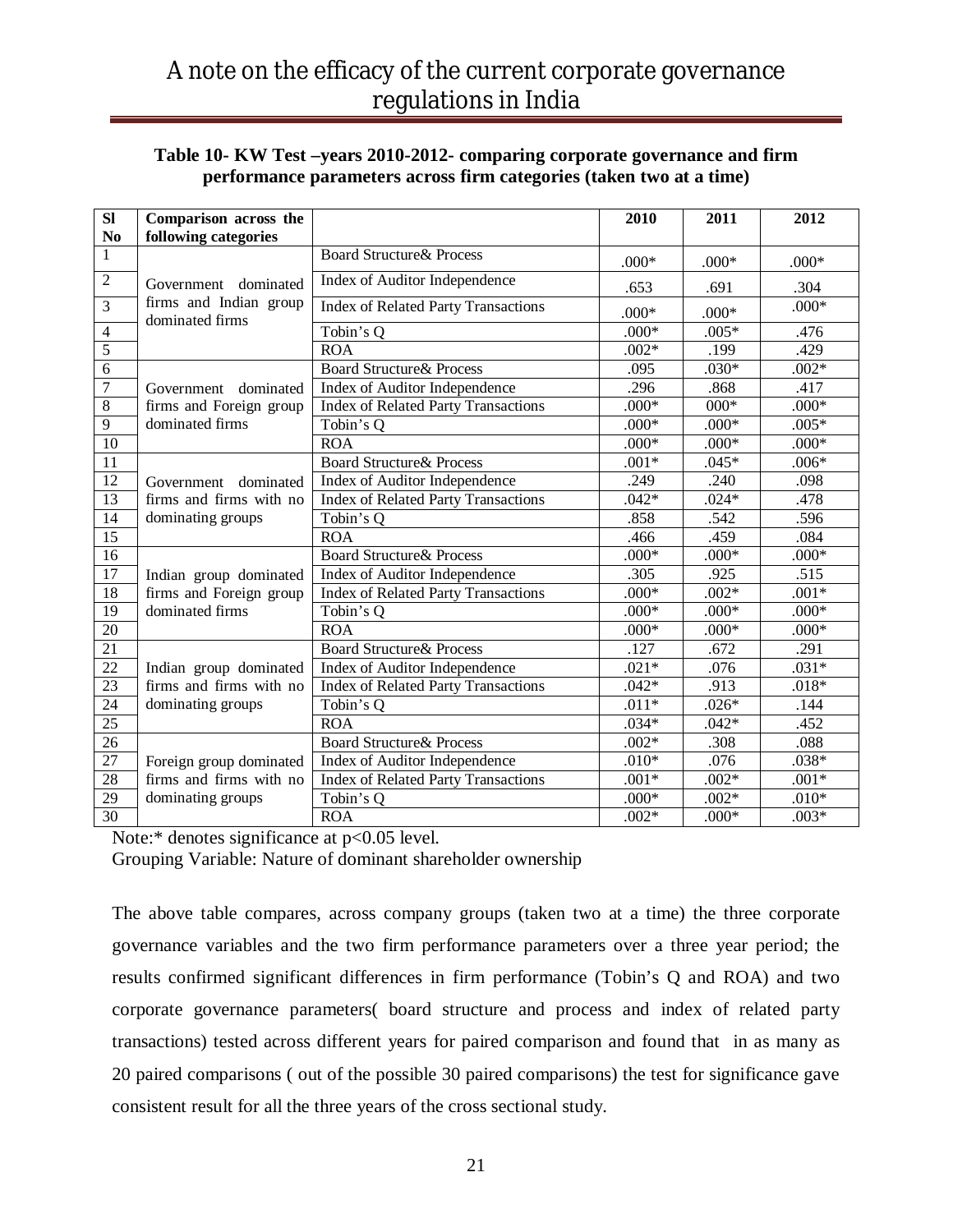### **Table 10- KW Test –years 2010-2012- comparing corporate governance and firm performance parameters across firm categories (taken two at a time)**

| SI              | Comparison across the                                                  |                                            | 2010    | 2011    | 2012    |
|-----------------|------------------------------------------------------------------------|--------------------------------------------|---------|---------|---------|
| N <sub>0</sub>  | following categories                                                   |                                            |         |         |         |
| $\mathbf{1}$    | Government dominated<br>firms and Indian group<br>dominated firms      | <b>Board Structure &amp; Process</b>       | $.000*$ | $.000*$ | $.000*$ |
| $\overline{2}$  |                                                                        | Index of Auditor Independence              | .653    | .691    | .304    |
| 3               |                                                                        | <b>Index of Related Party Transactions</b> | $.000*$ | $.000*$ | $.000*$ |
| 4               |                                                                        | Tobin's Q                                  | $.000*$ | $.005*$ | .476    |
| $\overline{5}$  |                                                                        | ROA                                        | $.002*$ | .199    | .429    |
| $\overline{6}$  | dominated<br>Government<br>firms and Foreign group<br>dominated firms  | <b>Board Structure &amp; Process</b>       | .095    | $.030*$ | $.002*$ |
| $\overline{7}$  |                                                                        | Index of Auditor Independence              | .296    | .868    | .417    |
| $\overline{8}$  |                                                                        | <b>Index of Related Party Transactions</b> | $.000*$ | $000*$  | $.000*$ |
| $\overline{9}$  |                                                                        | Tobin's Q                                  | $.000*$ | $.000*$ | $.005*$ |
| $\overline{10}$ |                                                                        | <b>ROA</b>                                 | $.000*$ | $.000*$ | $.000*$ |
| $\overline{11}$ | Government dominated<br>firms and firms with no<br>dominating groups   | <b>Board Structure &amp; Process</b>       | $.001*$ | $.045*$ | $.006*$ |
| $\overline{12}$ |                                                                        | Index of Auditor Independence              | .249    | .240    | .098    |
| $\overline{13}$ |                                                                        | <b>Index of Related Party Transactions</b> | $.042*$ | $.024*$ | .478    |
| $\overline{14}$ |                                                                        | Tobin's Q                                  | .858    | .542    | .596    |
| $\overline{15}$ |                                                                        | <b>ROA</b>                                 | .466    | .459    | .084    |
| $\overline{16}$ | Indian group dominated<br>firms and Foreign group<br>dominated firms   | <b>Board Structure &amp; Process</b>       | $.000*$ | $.000*$ | $.000*$ |
| 17              |                                                                        | Index of Auditor Independence              | .305    | .925    | .515    |
| $\overline{18}$ |                                                                        | <b>Index of Related Party Transactions</b> | $.000*$ | $.002*$ | $.001*$ |
| $\overline{19}$ |                                                                        | Tobin's Q                                  | $.000*$ | $.000*$ | $.000*$ |
| $\overline{20}$ |                                                                        | <b>ROA</b>                                 | $.000*$ | $.000*$ | $.000*$ |
| $\overline{21}$ | Indian group dominated<br>firms and firms with no<br>dominating groups | <b>Board Structure &amp; Process</b>       | .127    | .672    | .291    |
| $\overline{22}$ |                                                                        | Index of Auditor Independence              | $.021*$ | .076    | $.031*$ |
| 23              |                                                                        | <b>Index of Related Party Transactions</b> | $.042*$ | .913    | $.018*$ |
| $\overline{24}$ |                                                                        | Tobin's Q                                  | $.011*$ | $.026*$ | .144    |
| $\overline{25}$ |                                                                        | <b>ROA</b>                                 | $.034*$ | $.042*$ | .452    |
| $\overline{26}$ |                                                                        | <b>Board Structure &amp; Process</b>       | $.002*$ | .308    | .088    |
| $\overline{27}$ | Foreign group dominated                                                | Index of Auditor Independence              | $.010*$ | .076    | .038*   |
| $\overline{28}$ | firms and firms with no<br>dominating groups                           | <b>Index of Related Party Transactions</b> | $.001*$ | $.002*$ | $.001*$ |
| 29              |                                                                        | Tobin's Q                                  | $.000*$ | $.002*$ | $.010*$ |
| $\overline{30}$ |                                                                        | <b>ROA</b>                                 | $.002*$ | $.000*$ | $.003*$ |

Note:\* denotes significance at  $p<0.05$  level.

Grouping Variable: Nature of dominant shareholder ownership

The above table compares, across company groups (taken two at a time) the three corporate governance variables and the two firm performance parameters over a three year period; the results confirmed significant differences in firm performance (Tobin's Q and ROA) and two corporate governance parameters( board structure and process and index of related party transactions) tested across different years for paired comparison and found that in as many as 20 paired comparisons ( out of the possible 30 paired comparisons) the test for significance gave consistent result for all the three years of the cross sectional study.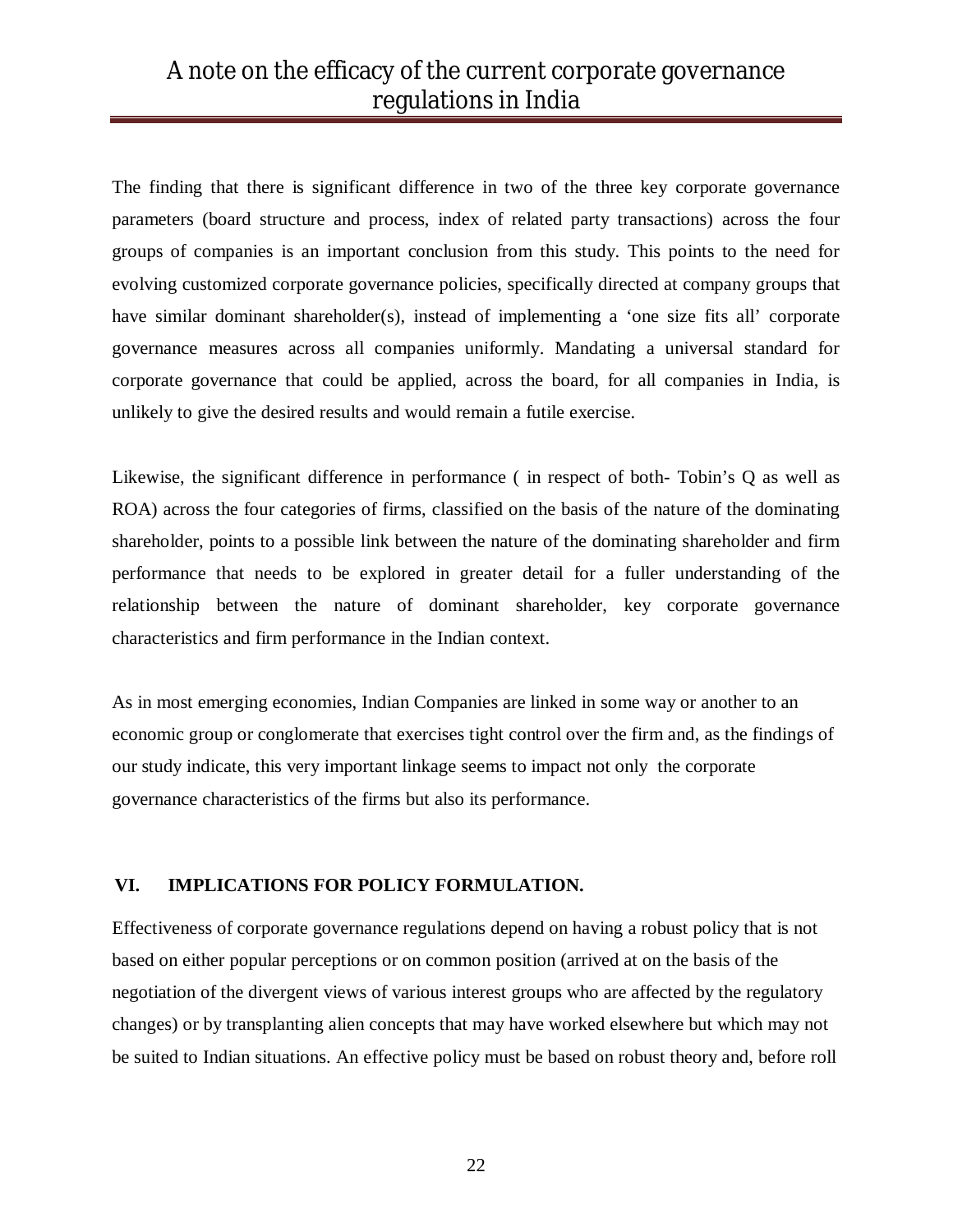The finding that there is significant difference in two of the three key corporate governance parameters (board structure and process, index of related party transactions) across the four groups of companies is an important conclusion from this study. This points to the need for evolving customized corporate governance policies, specifically directed at company groups that have similar dominant shareholder(s), instead of implementing a 'one size fits all' corporate governance measures across all companies uniformly. Mandating a universal standard for corporate governance that could be applied, across the board, for all companies in India, is unlikely to give the desired results and would remain a futile exercise.

Likewise, the significant difference in performance ( in respect of both- Tobin's Q as well as ROA) across the four categories of firms, classified on the basis of the nature of the dominating shareholder, points to a possible link between the nature of the dominating shareholder and firm performance that needs to be explored in greater detail for a fuller understanding of the relationship between the nature of dominant shareholder, key corporate governance characteristics and firm performance in the Indian context.

As in most emerging economies, Indian Companies are linked in some way or another to an economic group or conglomerate that exercises tight control over the firm and, as the findings of our study indicate, this very important linkage seems to impact not only the corporate governance characteristics of the firms but also its performance.

#### **VI. IMPLICATIONS FOR POLICY FORMULATION.**

Effectiveness of corporate governance regulations depend on having a robust policy that is not based on either popular perceptions or on common position (arrived at on the basis of the negotiation of the divergent views of various interest groups who are affected by the regulatory changes) or by transplanting alien concepts that may have worked elsewhere but which may not be suited to Indian situations. An effective policy must be based on robust theory and, before roll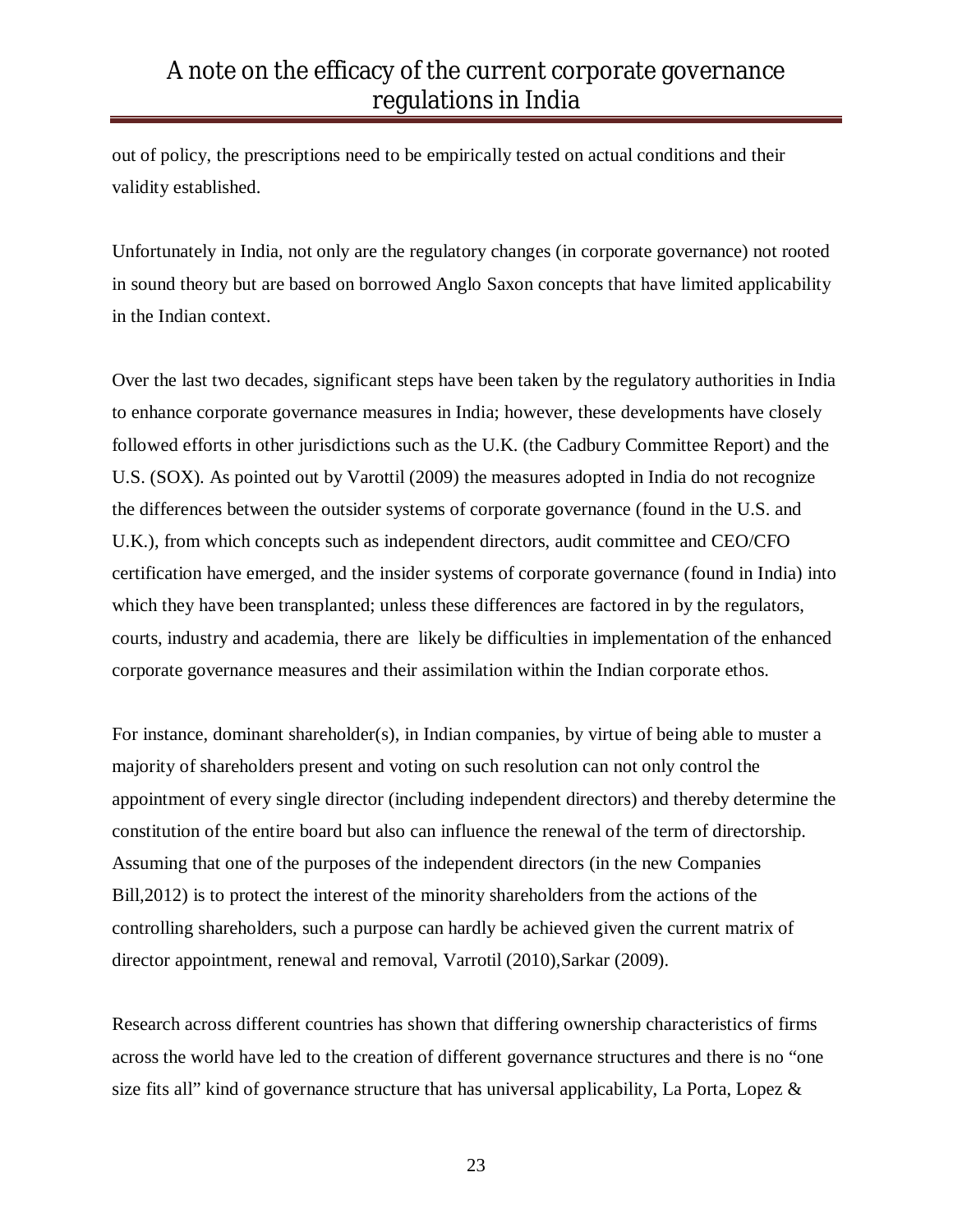out of policy, the prescriptions need to be empirically tested on actual conditions and their validity established.

Unfortunately in India, not only are the regulatory changes (in corporate governance) not rooted in sound theory but are based on borrowed Anglo Saxon concepts that have limited applicability in the Indian context.

Over the last two decades, significant steps have been taken by the regulatory authorities in India to enhance corporate governance measures in India; however, these developments have closely followed efforts in other jurisdictions such as the U.K. (the Cadbury Committee Report) and the U.S. (SOX). As pointed out by Varottil (2009) the measures adopted in India do not recognize the differences between the outsider systems of corporate governance (found in the U.S. and U.K.), from which concepts such as independent directors, audit committee and CEO/CFO certification have emerged, and the insider systems of corporate governance (found in India) into which they have been transplanted; unless these differences are factored in by the regulators, courts, industry and academia, there are likely be difficulties in implementation of the enhanced corporate governance measures and their assimilation within the Indian corporate ethos.

For instance, dominant shareholder(s), in Indian companies, by virtue of being able to muster a majority of shareholders present and voting on such resolution can not only control the appointment of every single director (including independent directors) and thereby determine the constitution of the entire board but also can influence the renewal of the term of directorship. Assuming that one of the purposes of the independent directors (in the new Companies Bill,2012) is to protect the interest of the minority shareholders from the actions of the controlling shareholders, such a purpose can hardly be achieved given the current matrix of director appointment, renewal and removal, Varrotil (2010), Sarkar (2009).

Research across different countries has shown that differing ownership characteristics of firms across the world have led to the creation of different governance structures and there is no "one size fits all" kind of governance structure that has universal applicability, La Porta, Lopez  $\&$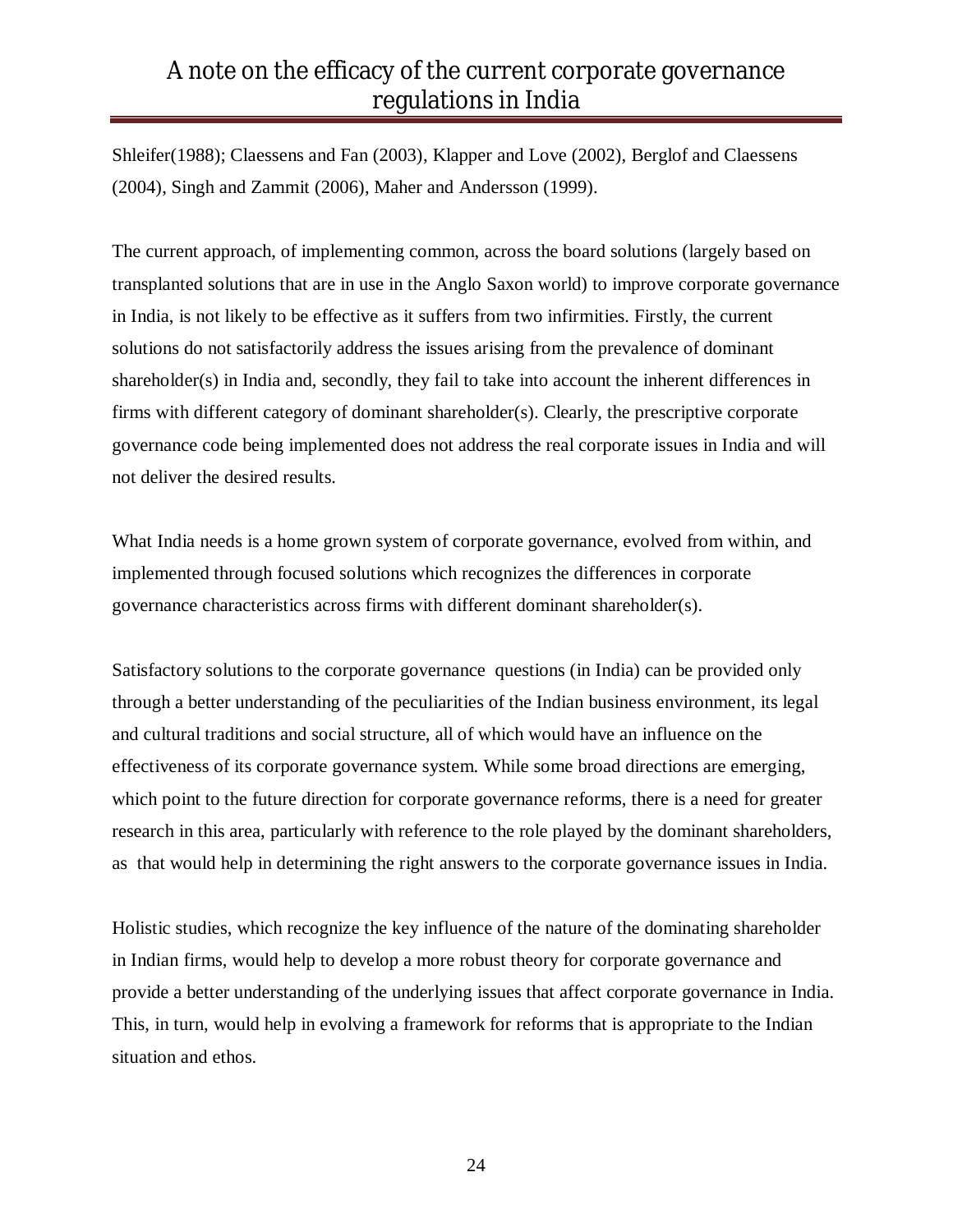Shleifer(1988); Claessens and Fan (2003), Klapper and Love (2002), Berglof and Claessens (2004), Singh and Zammit (2006), Maher and Andersson (1999).

The current approach, of implementing common, across the board solutions (largely based on transplanted solutions that are in use in the Anglo Saxon world) to improve corporate governance in India, is not likely to be effective as it suffers from two infirmities. Firstly, the current solutions do not satisfactorily address the issues arising from the prevalence of dominant shareholder(s) in India and, secondly, they fail to take into account the inherent differences in firms with different category of dominant shareholder(s). Clearly, the prescriptive corporate governance code being implemented does not address the real corporate issues in India and will not deliver the desired results.

What India needs is a home grown system of corporate governance, evolved from within, and implemented through focused solutions which recognizes the differences in corporate governance characteristics across firms with different dominant shareholder(s).

Satisfactory solutions to the corporate governance questions (in India) can be provided only through a better understanding of the peculiarities of the Indian business environment, its legal and cultural traditions and social structure, all of which would have an influence on the effectiveness of its corporate governance system. While some broad directions are emerging, which point to the future direction for corporate governance reforms, there is a need for greater research in this area, particularly with reference to the role played by the dominant shareholders, as that would help in determining the right answers to the corporate governance issues in India.

Holistic studies, which recognize the key influence of the nature of the dominating shareholder in Indian firms, would help to develop a more robust theory for corporate governance and provide a better understanding of the underlying issues that affect corporate governance in India. This, in turn, would help in evolving a framework for reforms that is appropriate to the Indian situation and ethos.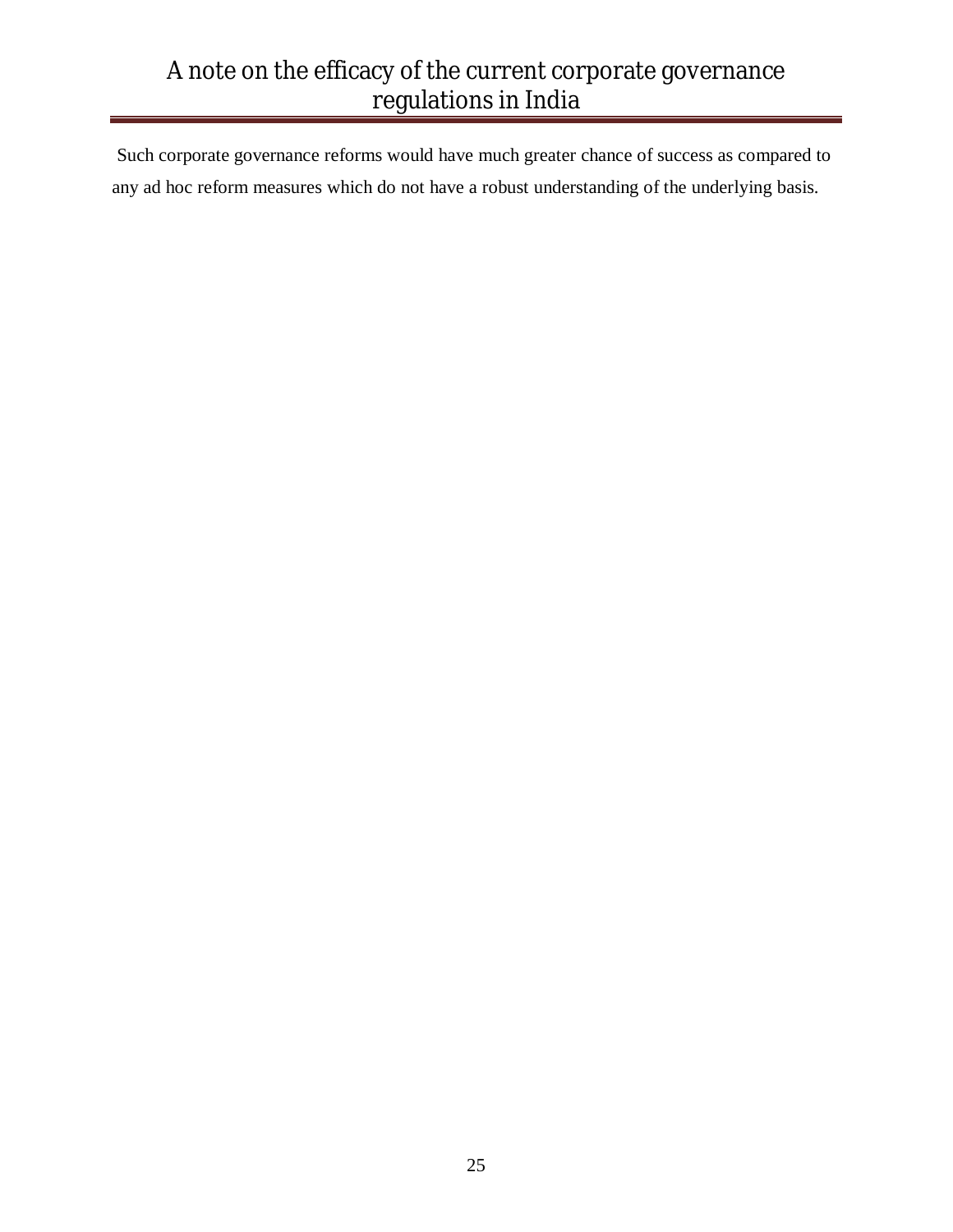Such corporate governance reforms would have much greater chance of success as compared to any ad hoc reform measures which do not have a robust understanding of the underlying basis.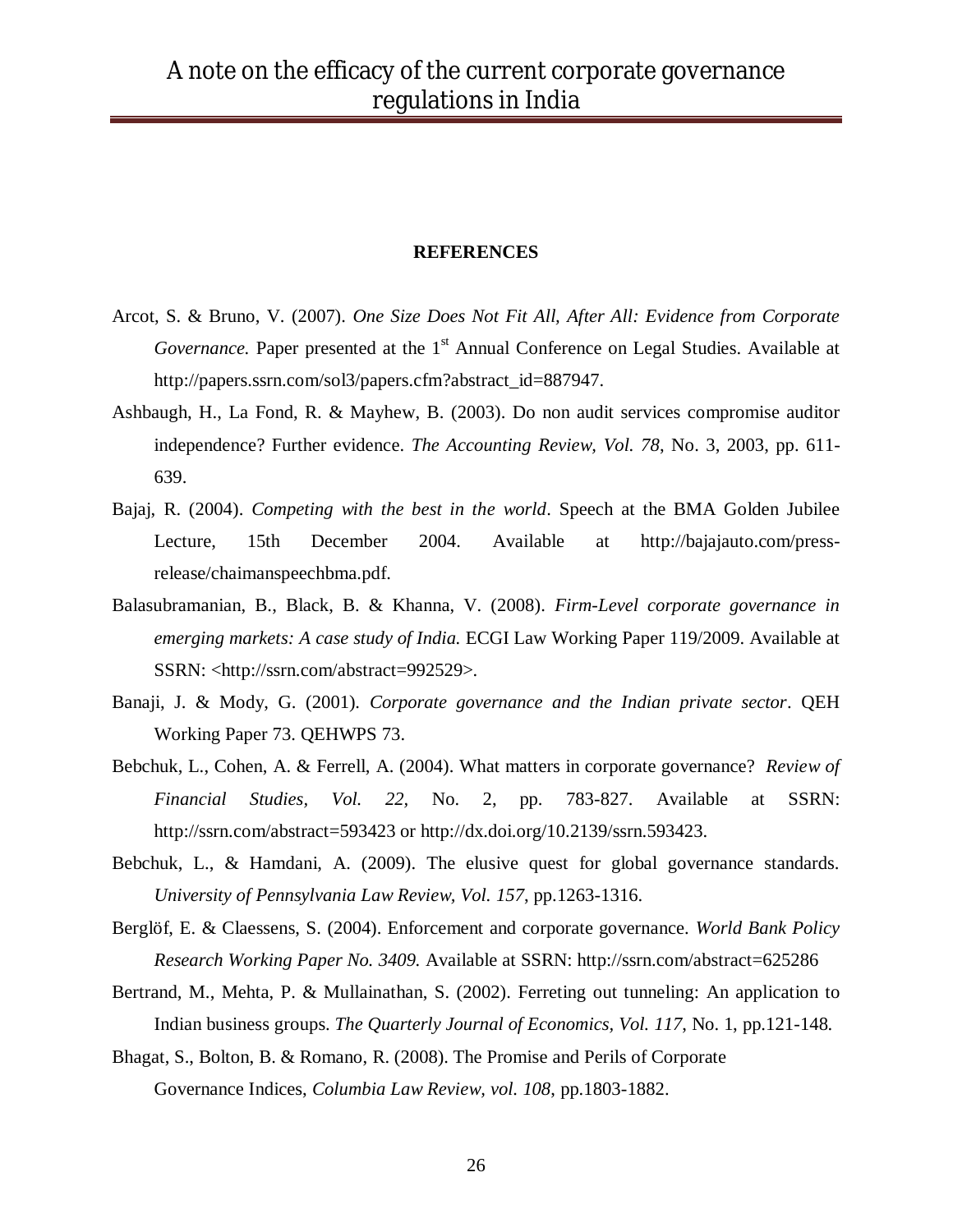#### **REFERENCES**

- Arcot, S. & Bruno, V. (2007). *One Size Does Not Fit All, After All: Evidence from Corporate Governance*. Paper presented at the 1<sup>st</sup> Annual Conference on Legal Studies. Available at http://papers.ssrn.com/sol3/papers.cfm?abstract\_id=887947.
- Ashbaugh, H., La Fond, R. & Mayhew, B. (2003). Do non audit services compromise auditor independence? Further evidence. *The Accounting Review, Vol. 78*, No. 3, 2003, pp. 611- 639.
- Bajaj, R. (2004). *Competing with the best in the world*. Speech at the BMA Golden Jubilee Lecture, 15th December 2004. Available at http://bajajauto.com/pressrelease/chaimanspeechbma.pdf.
- Balasubramanian, B., Black, B. & Khanna, V. (2008). *Firm-Level corporate governance in emerging markets: A case study of India.* ECGI Law Working Paper 119/2009. Available at SSRN: <http://ssrn.com/abstract=992529>.
- Banaji, J. & Mody, G. (2001). *Corporate governance and the Indian private sector*. QEH Working Paper 73. QEHWPS 73.
- Bebchuk, L., Cohen, A. & Ferrell, A. (2004). What matters in corporate governance? *Review of Financial Studies, Vol. 22,* No. 2, pp. 783-827. Available at SSRN: http://ssrn.com/abstract=593423 or http://dx.doi.org/10.2139/ssrn.593423.
- Bebchuk, L., & Hamdani, A. (2009). The elusive quest for global governance standards. *University of Pennsylvania Law Review, Vol. 157*, pp.1263-1316.
- Berglöf, E. & Claessens, S. (2004). Enforcement and corporate governance. *World Bank Policy Research Working Paper No. 3409.* Available at SSRN: http://ssrn.com/abstract=625286
- Bertrand, M., Mehta, P. & Mullainathan, S. (2002). Ferreting out tunneling: An application to Indian business groups. *The Quarterly Journal of Economics, Vol. 117*, No. 1, pp.121-148.
- Bhagat, S., Bolton, B. & Romano, R. (2008). The Promise and Perils of Corporate Governance Indices, *Columbia Law Review, vol. 108*, pp.1803-1882.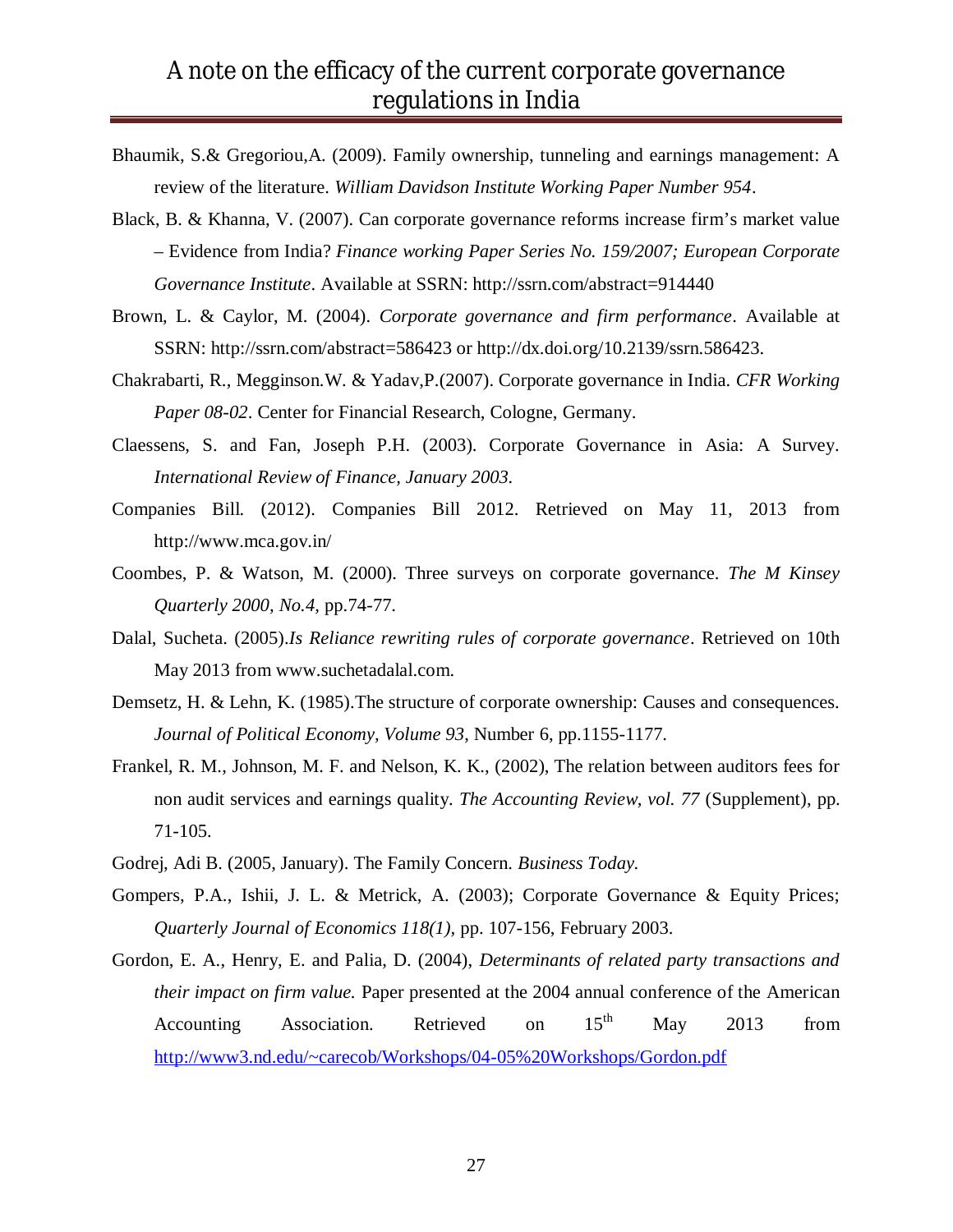- Bhaumik, S.& Gregoriou,A. (2009). Family ownership, tunneling and earnings management: A review of the literature. *William Davidson Institute Working Paper Number 954*.
- Black, B. & Khanna, V. (2007). Can corporate governance reforms increase firm's market value – Evidence from India? *Finance working Paper Series No. 159/2007; European Corporate Governance Institute*. Available at SSRN: http://ssrn.com/abstract=914440
- Brown, L. & Caylor, M. (2004). *Corporate governance and firm performance*. Available at SSRN: http://ssrn.com/abstract=586423 or http://dx.doi.org/10.2139/ssrn.586423.
- Chakrabarti, R., Megginson.W. & Yadav,P.(2007). Corporate governance in India. *CFR Working Paper 08-02*. Center for Financial Research, Cologne, Germany.
- Claessens, S. and Fan, Joseph P.H. (2003). Corporate Governance in Asia: A Survey. *International Review of Finance, January 2003.*
- Companies Bill. (2012). Companies Bill 2012. Retrieved on May 11, 2013 from http://www.mca.gov.in/
- Coombes, P. & Watson, M. (2000). Three surveys on corporate governance. *The M Kinsey Quarterly 2000, No.4,* pp.74-77.
- Dalal, Sucheta. (2005).*Is Reliance rewriting rules of corporate governance*. Retrieved on 10th May 2013 from www.suchetadalal.com.
- Demsetz, H. & Lehn, K. (1985).The structure of corporate ownership: Causes and consequences. *Journal of Political Economy, Volume 93*, Number 6, pp.1155-1177.
- Frankel, R. M., Johnson, M. F. and Nelson, K. K., (2002), The relation between auditors fees for non audit services and earnings quality. *The Accounting Review, vol. 77* (Supplement), pp. 71-105.
- Godrej, Adi B. (2005, January). The Family Concern. *Business Today.*
- Gompers, P.A., Ishii, J. L. & Metrick, A. (2003); Corporate Governance & Equity Prices; *Quarterly Journal of Economics 118(1),* pp. 107-156, February 2003.
- Gordon, E. A., Henry, E. and Palia, D. (2004), *Determinants of related party transactions and their impact on firm value.* Paper presented at the 2004 annual conference of the American Accounting Association. Retrieved on  $15<sup>th</sup>$  May 2013 from http://www3.nd.edu/~carecob/Workshops/04-05%20Workshops/Gordon.pdf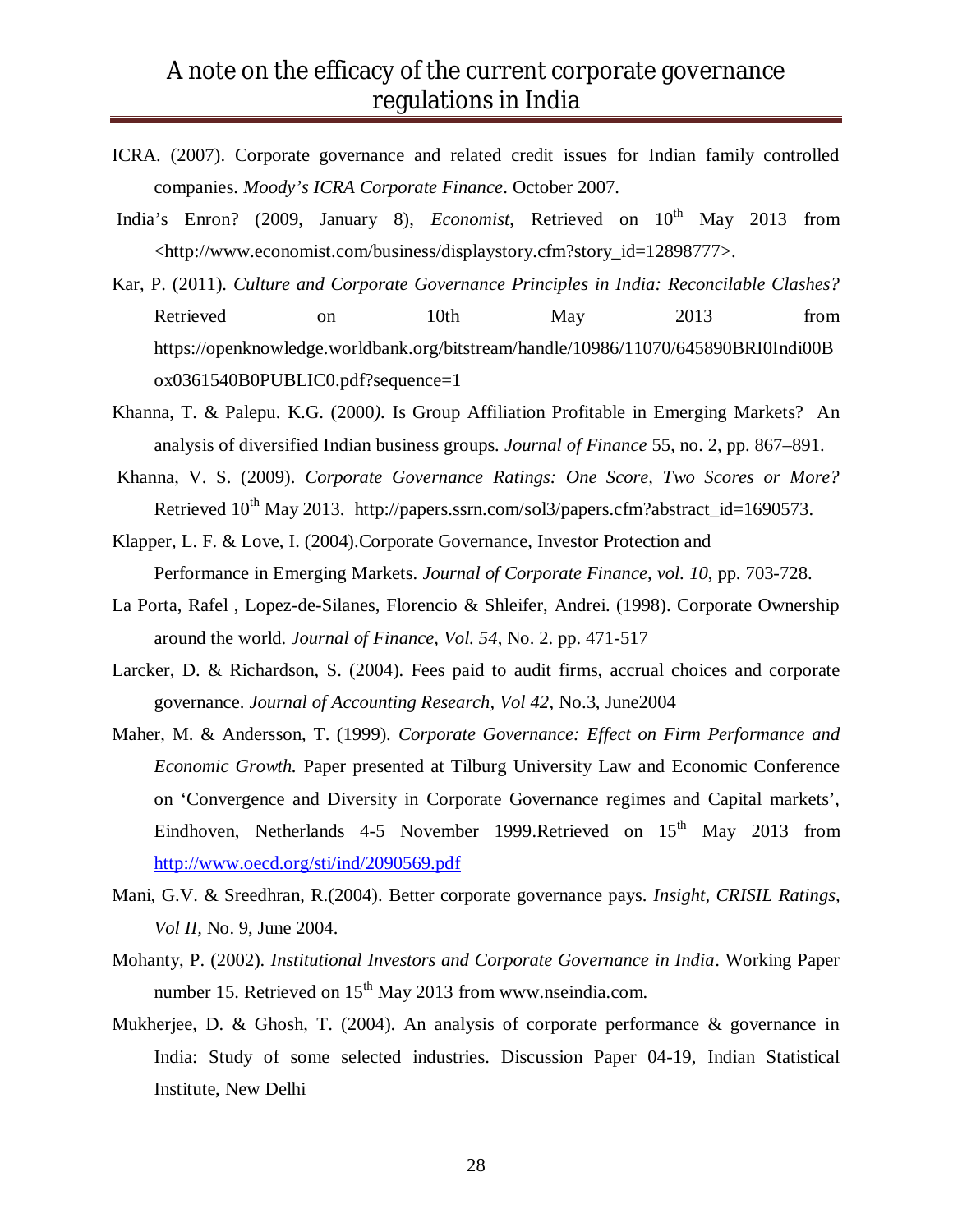- ICRA. (2007). Corporate governance and related credit issues for Indian family controlled companies. *Moody's ICRA Corporate Finance*. October 2007.
- India's Enron? (2009, January 8), *Economist*, Retrieved on  $10^{th}$  May 2013 from <http://www.economist.com/business/displaystory.cfm?story\_id=12898777>.
- Kar, P. (2011). *Culture and Corporate Governance Principles in India: Reconcilable Clashes?* Retrieved on 10th May 2013 from https://openknowledge.worldbank.org/bitstream/handle/10986/11070/645890BRI0Indi00B ox0361540B0PUBLIC0.pdf?sequence=1
- Khanna, T. & Palepu. K.G. (2000*).* Is Group Affiliation Profitable in Emerging Markets? An analysis of diversified Indian business groups*. Journal of Finance* 55, no. 2, pp. 867–891.
- Khanna, V. S. (2009). *Corporate Governance Ratings: One Score, Two Scores or More?* Retrieved 10<sup>th</sup> May 2013. http://papers.ssrn.com/sol3/papers.cfm?abstract\_id=1690573.
- Klapper, L. F. & Love, I. (2004).Corporate Governance, Investor Protection and Performance in Emerging Markets. *Journal of Corporate Finance, vol. 10*, pp. 703-728.
- La Porta, Rafel , Lopez-de-Silanes, Florencio & Shleifer, Andrei. (1998). Corporate Ownership around the world. *Journal of Finance, Vol. 54*, No. 2. pp. 471-517
- Larcker, D. & Richardson, S. (2004). Fees paid to audit firms, accrual choices and corporate governance. *Journal of Accounting Research, Vol 42*, No.3, June2004
- Maher, M. & Andersson, T. (1999). *Corporate Governance: Effect on Firm Performance and Economic Growth.* Paper presented at Tilburg University Law and Economic Conference on 'Convergence and Diversity in Corporate Governance regimes and Capital markets', Eindhoven, Netherlands 4-5 November 1999.Retrieved on 15<sup>th</sup> May 2013 from http://www.oecd.org/sti/ind/2090569.pdf
- Mani, G.V. & Sreedhran, R.(2004). Better corporate governance pays. *Insight, CRISIL Ratings, Vol II,* No. 9, June 2004.
- Mohanty, P. (2002). *Institutional Investors and Corporate Governance in India*. Working Paper number 15. Retrieved on 15<sup>th</sup> May 2013 from www.nseindia.com.
- Mukherjee, D. & Ghosh, T. (2004). An analysis of corporate performance & governance in India: Study of some selected industries. Discussion Paper 04-19, Indian Statistical Institute, New Delhi